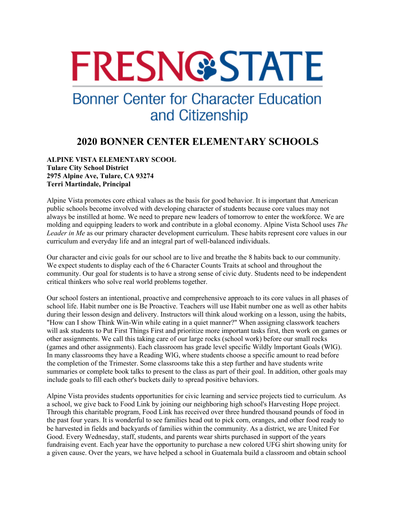# **FRESN@STATE**

## **Bonner Center for Character Education** and Citizenship

### **2020 BONNER CENTER ELEMENTARY SCHOOLS**

#### **ALPINE VISTA ELEMENTARY SCOOL Tulare City School District 2975 Alpine Ave, Tulare, CA 93274 Terri Martindale, Principal**

Alpine Vista promotes core ethical values as the basis for good behavior. It is important that American public schools become involved with developing character of students because core values may not always be instilled at home. We need to prepare new leaders of tomorrow to enter the workforce. We are molding and equipping leaders to work and contribute in a global economy. Alpine Vista School uses *The Leader in Me* as our primary character development curriculum. These habits represent core values in our curriculum and everyday life and an integral part of well-balanced individuals.

Our character and civic goals for our school are to live and breathe the 8 habits back to our community. We expect students to display each of the 6 Character Counts Traits at school and throughout the community. Our goal for students is to have a strong sense of civic duty. Students need to be independent critical thinkers who solve real world problems together.

Our school fosters an intentional, proactive and comprehensive approach to its core values in all phases of school life. Habit number one is Be Proactive. Teachers will use Habit number one as well as other habits during their lesson design and delivery. Instructors will think aloud working on a lesson, using the habits, "How can I show Think Win-Win while eating in a quiet manner?" When assigning classwork teachers will ask students to Put First Things First and prioritize more important tasks first, then work on games or other assignments. We call this taking care of our large rocks (school work) before our small rocks (games and other assignments). Each classroom has grade level specific Wildly lmportant Goals (WlG). In many classrooms they have a Reading WlG, where students choose a specific amount to read before the completion of the Trimester. Some classrooms take this a step further and have students write summaries or complete book talks to present to the class as part of their goal. In addition, other goals may include goals to fill each other's buckets daily to spread positive behaviors.

Alpine Vista provides students opportunities for civic learning and service projects tied to curriculum. As a school, we give back to Food Link by joining our neighboring high school's Harvesting Hope project. Through this charitable program, Food Link has received over three hundred thousand pounds of food in the past four years. It is wonderful to see families head out to pick corn, oranges, and other food ready to be harvested in fields and backyards of families within the community. As a district, we are United For Good. Every Wednesday, staff, students, and parents wear shirts purchased in support of the years fundraising event. Each year have the opportunity to purchase a new colored UFG shirt showing unity for a given cause. Over the years, we have helped a school in Guatemala build a classroom and obtain school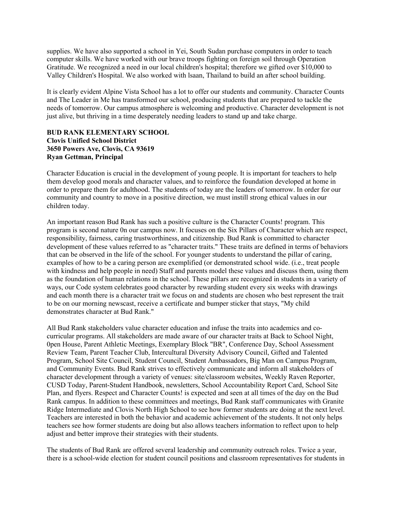supplies. We have also supported a school in Yei, South Sudan purchase computers in order to teach computer skills. We have worked with our brave troops fighting on foreign soil through Operation Gratitude. We recognized a need in our local children's hospital; therefore we gifted over \$10,000 to Valley Children's Hospital. We also worked with lsaan, Thailand to build an after school building.

It is clearly evident Alpine Vista School has a lot to offer our students and community. Character Counts and The Leader in Me has transformed our school, producing students that are prepared to tackle the needs of tomorrow. Our campus atmosphere is welcoming and productive. Character development is not just alive, but thriving in a time desperately needing leaders to stand up and take charge.

#### **BUD RANK ELEMENTARY SCHOOL Clovis Unified School District 3650 Powers Ave, Clovis, CA 93619 Ryan Gettman, Principal**

Character Education is crucial in the development of young people. It is important for teachers to help them develop good morals and character values, and to reinforce the foundation developed at home in order to prepare them for adulthood. The students of today are the leaders of tomorrow. In order for our community and country to move in a positive direction, we must instill strong ethical values in our children today.

An important reason Bud Rank has such a positive culture is the Character Counts! program. This program is second nature 0n our campus now. It focuses on the Six Pillars of Character which are respect, responsibility, fairness, caring trustworthiness, and citizenship. Bud Rank is committed to character development of these values referred to as "character traits." These traits are defined in terms of behaviors that can be observed in the life of the school. For younger students to understand the pillar of caring, examples of how to be a caring person are exemplified (or demonstrated school wide. (i.e., treat people with kindness and help people in need) Staff and parents model these values and discuss them, using them as the foundation of human relations in the school. These pillars are recognized in students in a variety of ways, our Code system celebrates good character by rewarding student every six weeks with drawings and each month there is a character trait we focus on and students are chosen who best represent the trait to be on our morning newscast, receive a certificate and bumper sticker that stays, "My child demonstrates character at Bud Rank."

All Bud Rank stakeholders value character education and infuse the traits into academics and cocurricular programs. All stakeholders are made aware of our character traits at Back to School Night, 0pen House, Parent Athletic Meetings, Exemplary Block "BR", Conference Day, School Assessment Review Team, Parent Teacher Club, Intercultural Diversity Advisory Council, Gifted and Talented Program, School Site Council, Student Council, Student Ambassadors, Big Man on Campus Program, and Community Events. Bud Rank strives to effectively communicate and inform all stakeholders of character development through a variety of venues: site/classroom websites, Weekly Raven Reporter, CUSD Today, Parent-Student Handbook, newsletters, School Accountability Report Card, School Site Plan, and flyers. Respect and Character Counts! is expected and seen at all times of the day on the Bud Rank campus. In addition to these committees and meetings, Bud Rank staff communicates with Granite Ridge Intermediate and Clovis North High School to see how former students are doing at the next level. Teachers are interested in both the behavior and academic achievement of the students. It not only helps teachers see how former students are doing but also allows teachers information to reflect upon to help adjust and better improve their strategies with their students.

The students of Bud Rank are offered several leadership and community outreach roles. Twice a year, there is a school-wide election for student council positions and classroom representatives for students in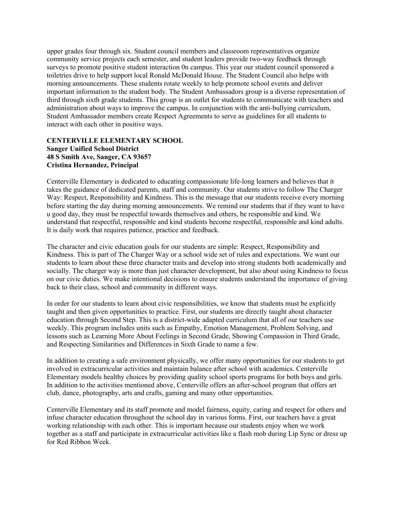upper grades four through six. Student council members and classroom representatives organize community service projects each semester, and student leaders provide two-way feedback through surveys to promote positive student interaction 0n campus. This year our student council sponsored a toiletries drive to help support local Ronald McDonald House. The Student Council also helps with morning announcements. These students rotate weekly to help promote school events and deliver important information to the student body. The Student Ambassadors group is a diverse representation of third through sixth grade students. This group is an outlet for students to communicate with teachers and administration about ways to improve the campus. In conjunction with the anti-bullying curriculum, Student Ambassador members create Respect Agreements to serve as guidelines for all students to interact with each other in positive ways.

#### **CENTERVILLE ELEMENTARY SCHOOL Sanger Unified School District 48 S Smith Ave, Sanger, CA 93657 Cristina Hernandez, Principal**

Centerville Elementary is dedicated to educating compassionate life-long learners and believes that it takes the guidance of dedicated parents, staff and community. Our students strive to follow The Charger Way: Respect, Responsibility and Kindness. This is the message that our students receive every morning before starting the day during morning announcements. We remind our students that if they want to have u good day, they must be respectful towards themselves and others, be responsible and kind. We understand that respectful, responsible and kind students become respectful, responsible and kind adults. It is daily work that requires patience, practice and feedback.

The character and civic education goals for our students are simple: Respect, Responsibility and Kindness. This is part of The Charger Way or a school wide set of rules and expectations. We want our students to learn about these three character traits and develop into strong students both academically and socially. The charger way is more than just character development, but also about using Kindness to focus on our civic duties. We make intentional decisions to ensure students understand the importance of giving back to their class, school and community in different ways.

In order for our students to learn about civic responsibilities, we know that students must be explicitly taught and then given opportunities to practice. First, our students are directly taught about character education through Second Step. This is a district-wide adapted curriculum that all of our teachers use weekly. This program includes units such as Empathy, Emotion Management, Problem Solving, and lessons such as Learning More About Feelings in Second Grade, Showing Compassion in Third Grade, and Respecting Similarities and Differences in Sixth Grade to name a few.

In addition to creating a safe environment physically, we offer many opportunities for our students to get involved in extracurricular activities and maintain balance after school with academics. Centerville Elementary models healthy choices by providing quality school sports programs for both boys and girls. In addition to the activities mentioned above, Centerville offers an after-school program that offers art club, dance, photography, arts and crafts, gaming and many other opportunities.

Centerville Elementary and its staff promote and model fairness, equity, caring and respect for others and infuse character education throughout the school day in various forms. First, our teachers have a great working relationship with each other. This is important because our students enjoy when we work together as a staff and participate in extracurricular activities like a flash mob during Lip Sync or dress up for Red Ribbon Week.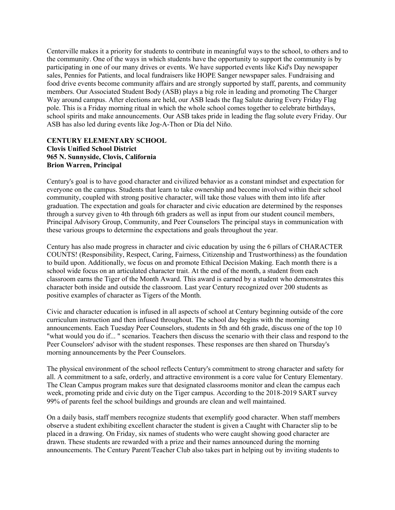Centerville makes it a priority for students to contribute in meaningful ways to the school, to others and to the community. One of the ways in which students have the opportunity to support the community is by participating in one of our many drives or events. We have supported events like Kid's Day newspaper sales, Pennies for Patients, and local fundraisers like HOPE Sanger newspaper sales. Fundraising and food drive events become community affairs and are strongly supported by staff, parents, and community members. Our Associated Student Body (ASB) plays a big role in leading and promoting The Charger Way around campus. After elections are held, our ASB leads the flag Salute during Every Friday Flag pole. This is a Friday morning ritual in which the whole school comes together to celebrate birthdays, school spirits and make announcements. Our ASB takes pride in leading the flag solute every Friday. Our ASB has also led during events like Jog-A-Thon or Día del Niño.

#### **CENTURY ELEMENTARY SCHOOL Clovis Unified School District 965 N. Sunnyside, Clovis, California Brion Warren, Principal**

Century's goal is to have good character and civilized behavior as a constant mindset and expectation for everyone on the campus. Students that learn to take ownership and become involved within their school community, coupled with strong positive character, will take those values with them into life after graduation. The expectation and goals for character and civic education are determined by the responses through a survey given to 4th through 6th graders as well as input from our student council members, Principal Advisory Group, Community, and Peer Counselors The principal stays in communication with these various groups to determine the expectations and goals throughout the year.

Century has also made progress in character and civic education by using the 6 pillars of CHARACTER COUNTS! (Responsibility, Respect, Caring, Fairness, Citizenship and Trustworthiness) as the foundation to build upon. Additionally, we focus on and promote Ethical Decision Making. Each month there is a school wide focus on an articulated character trait. At the end of the month, a student from each classroom earns the Tiger of the Month Award. This award is earned by a student who demonstrates this character both inside and outside the classroom. Last year Century recognized over 200 students as positive examples of character as Tigers of the Month.

Civic and character education is infused in all aspects of school at Century beginning outside of the core curriculum instruction and then infused throughout. The school day begins with the morning announcements. Each Tuesday Peer Counselors, students in 5th and 6th grade, discuss one of the top 10 "what would you do if... " scenarios. Teachers then discuss the scenario with their class and respond to the Peer Counselors' advisor with the student responses. These responses are then shared on Thursday's morning announcements by the Peer Counselors.

The physical environment of the school reflects Century's commitment to strong character and safety for all. A commitment to a safe, orderly, and attractive environment is a core value for Century Elementary. The Clean Campus program makes sure that designated classrooms monitor and clean the campus each week, promoting pride and civic duty on the Tiger campus. According to the 2018-2019 SART survey 99% of parents feel the school buildings and grounds are clean and well maintained.

On a daily basis, staff members recognize students that exemplify good character. When staff members observe a student exhibiting excellent character the student is given a Caught with Character slip to be placed in a drawing. On Friday, six names of students who were caught showing good character are drawn. These students are rewarded with a prize and their names announced during the morning announcements. The Century Parent/Teacher Club also takes part in helping out by inviting students to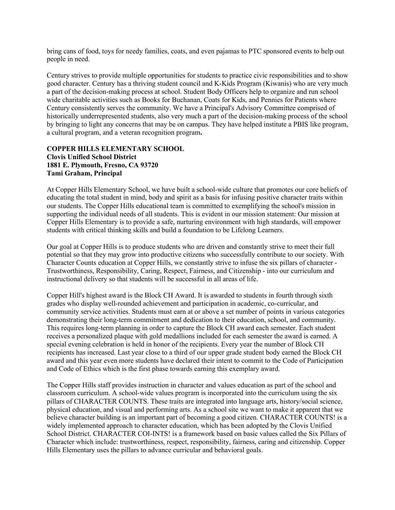bring cans of food, toys for needy families, coats, and even pajamas to PTC sponsored events to help out people in need.

Century strives to provide multiple opportunities for students to practice civic responsibilities and to show good character. Century has a thriving student council and K-Kids Program (Kiwanis) who are very much a part of the decision-making process at school. Student Body Officers help to organize and run school wide charitable activities such as Books for Buchanan, Coats for Kids, and Pennies for Patients where Century consistently serves the community. We have a Principal's Advisory Committee comprised of historically underrepresented students, also very much a part of the decision-making process of the school by bringing to light any concerns that may be on campus. They have helped institute a PBIS like program, a cultural program, and a veteran recognition program**.**

#### **COPPER HILLS ELEMENTARY SCHOOL Clovis Unified School District 1881 E. Plymouth, Fresno, CA 93720 Tami Graham, Principal**

At Copper Hills Elementary School, we have built a school-wide culture that promotes our core beliefs of educating the total student in mind, body and spirit as a basis for infusing positive character traits within our students. The Copper Hills educational team is committed to exemplifying the school's mission in supporting the individual needs of all students. This is evident in our mission statement: Our mission at Copper Hills Elementary is to provide a safe, nurturing environment with high standards, will empower students with critical thinking skills and build a foundation to be Lifelong Learners.

Our goal at Copper Hills is to produce students who are driven and constantly strive to meet their full potential so that they may grow into productive citizens who successfully contribute to our society. With Character Counts education at Copper Hills, we constantly strive to infuse the six pillars of character - Trustworthiness, Responsibility, Caring, Respect, Fairness, and Citizenship - into our curriculum and instructional delivery so that students will be successful in all areas of life.

Copper Hill's highest award is the Block CH Award. It is awarded to students in fourth through sixth grades who display well-rounded achievement and participation in academic, co-curricular, and community service activities. Students must earn at or above a set number of points in various categories demonstrating their long-term commitment and dedication to their education, school, and community. This requires long-term planning in order to capture the Block CH award each semester. Each student receives a personalized plaque with gold medallions included for each semester the award is earned. A special evening celebration is held in honor of the recipients. Every year the number of Block CH recipients has increased. Last year close to a third of our upper grade student body earned the Block CH award and this year even more students have declared their intent to commit to the Code of Participation and Code of Ethics which is the first phase towards earning this exemplary award.

The Copper Hills staff provides instruction in character and values education as part of the school and classroom curriculum. A school-wide values program is incorporated into the curriculum using the six pillars of CHARACTER COUNTS. These traits are integrated into language arts, history/social science, physical education, and visual and performing arts. As a school site we want to make it apparent that we believe character building is an important part of becoming a good citizen. CHARACTER COUNTS! is a widely implemented approach to character education, which has been adopted by the Clovis Unified School District. CHARACTER COI-INTS! is a framework based on basic values called the Six Pillars of Character which include: trustworthiness, respect, responsibility, fairness, caring and citizenship. Copper Hills Elementary uses the pillars to advance curricular and behavioral goals.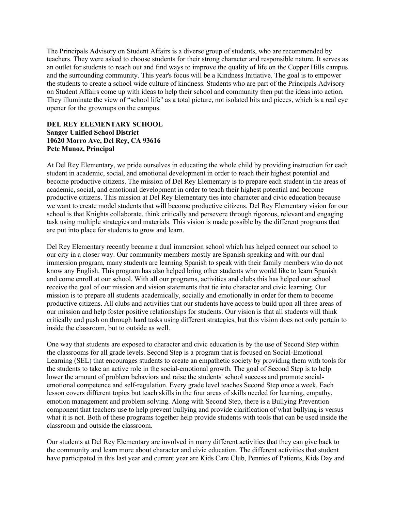The Principals Advisory on Student Affairs is a diverse group of students, who are recommended by teachers. They were asked to choose students for their strong character and responsible nature. It serves as an outlet for students to reach out and find ways to improve the quality of life on the Copper Hills campus and the surrounding community. This year's focus will be a Kindness Initiative. The goal is to empower the students to create a school wide culture of kindness. Students who are part of the Principals Advisory on Student Affairs come up with ideas to help their school and community then put the ideas into action. They illuminate the view of "school life" as a total picture, not isolated bits and pieces, which is a real eye opener for the grownups on the campus.

#### **DEL REY ELEMENTARY SCHOOL Sanger Unified School District 10620 Morro Ave, Del Rey, CA 93616 Pete Munoz, Principal**

At Del Rey Elementary, we pride ourselves in educating the whole child by providing instruction for each student in academic, social, and emotional development in order to reach their highest potential and become productive citizens. The mission of Del Rey Elementary is to prepare each student in the areas of academic, social, and emotional development in order to teach their highest potential and become productive citizens. This mission at Del Rey Elementary ties into character and civic education because we want to create model students that will become productive citizens. Del Rey Elementary vision for our school is that Knights collaborate, think critically and persevere through rigorous, relevant and engaging task using multiple strategies and materials. This vision is made possible by the different programs that are put into place for students to grow and learn.

Del Rey Elementary recently became a dual immersion school which has helped connect our school to our city in a closer way. Our community members mostly are Spanish speaking and with our dual immersion program, many students are learning Spanish to speak with their family members who do not know any English. This program has also helped bring other students who would like to learn Spanish and come enroll at our school. With all our programs, activities and clubs this has helped our school receive the goal of our mission and vision statements that tie into character and civic learning. Our mission is to prepare all students academically, socially and emotionally in order for them to become productive citizens. All clubs and activities that our students have access to build upon all three areas of our mission and help foster positive relationships for students. Our vision is that all students will think critically and push on through hard tasks using different strategies, but this vision does not only pertain to inside the classroom, but to outside as well.

One way that students are exposed to character and civic education is by the use of Second Step within the classrooms for all grade levels. Second Step is a program that is focused on Social-Emotional Learning (SEL) that encourages students to create an empathetic society by providing them with tools for the students to take an active role in the social-emotional growth. The goal of Second Step is to help lower the amount of problem behaviors and raise the students' school success and promote socialemotional competence and self-regulation. Every grade level teaches Second Step once a week. Each lesson covers different topics but teach skills in the four areas of skills needed for learning, empathy, emotion management and problem solving. Along with Second Step, there is a Bullying Prevention component that teachers use to help prevent bullying and provide clarification of what bullying is versus what it is not. Both of these programs together help provide students with tools that can be used inside the classroom and outside the classroom.

Our students at Del Rey Elementary are involved in many different activities that they can give back to the community and learn more about character and civic education. The different activities that student have participated in this last year and current year are Kids Care Club, Pennies of Patients, Kids Day and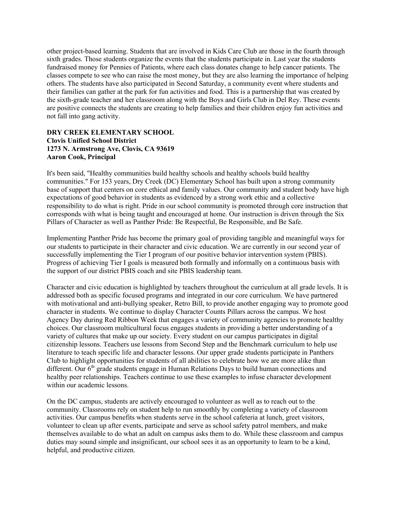other project-based learning. Students that are involved in Kids Care Club are those in the fourth through sixth grades. Those students organize the events that the students participate in. Last year the students fundraised money for Pennies of Patients, where each class donates change to help cancer patients. The classes compete to see who can raise the most money, but they are also learning the importance of helping others. The students have also participated in Second Saturday, a community event where students and their families can gather at the park for fun activities and food. This is a partnership that was created by the sixth-grade teacher and her classroom along with the Boys and Girls Club in Del Rey. These events are positive connects the students are creating to help families and their children enjoy fun activities and not fall into gang activity.

#### **DRY CREEK ELEMENTARY SCHOOL Clovis Unified School District 1273 N. Armstrong Ave, Clovis, CA 93619 Aaron Cook, Principal**

It's been said, "Healthy communities build healthy schools and healthy schools build healthy communities." For 153 years, Dry Creek (DC) Elementary School has built upon a strong community base of support that centers on core ethical and family values. Our community and student body have high expectations of good behavior in students as evidenced by a strong work ethic and a collective responsibility to do what is right. Pride in our school community is promoted through core instruction that corresponds with what is being taught and encouraged at home. Our instruction is driven through the Six Pillars of Character as well as Panther Pride: Be Respectful, Be Responsible, and Be Safe.

Implementing Panther Pride has become the primary goal of providing tangible and meaningful ways for our students to participate in their character and civic education. We are currently in our second year of successfully implementing the Tier I program of our positive behavior intervention system (PBIS). Progress of achieving Tier I goals is measured both formally and informally on a continuous basis with the support of our district PBIS coach and site PBIS leadership team.

Character and civic education is highlighted by teachers throughout the curriculum at all grade levels. It is addressed both as specific focused programs and integrated in our core curriculum. We have partnered with motivational and anti-bullying speaker, Retro Bill, to provide another engaging way to promote good character in students. We continue to display Character Counts Pillars across the campus. We host Agency Day during Red Ribbon Week that engages a variety of community agencies to promote healthy choices. Our classroom multicultural focus engages students in providing a better understanding of a variety of cultures that make up our society. Every student on our campus participates in digital citizenship lessons. Teachers use lessons from Second Step and the Benchmark curriculum to help use literature to teach specific life and character lessons. Our upper grade students participate in Panthers Club to highlight opportunities for students of all abilities to celebrate how we are more alike than different. Our  $6<sup>th</sup>$  grade students engage in Human Relations Days to build human connections and healthy peer relationships. Teachers continue to use these examples to infuse character development within our academic lessons.

On the DC campus, students are actively encouraged to volunteer as well as to reach out to the community. Classrooms rely on student help to run smoothly by completing a variety of classroom activities. Our campus benefits when students serve in the school cafeteria at lunch, greet visitors, volunteer to clean up after events, participate and serve as school safety patrol members, and make themselves available to do what an adult on campus asks them to do. While these classroom and campus duties may sound simple and insignificant, our school sees it as an opportunity to learn to be a kind, helpful, and productive citizen.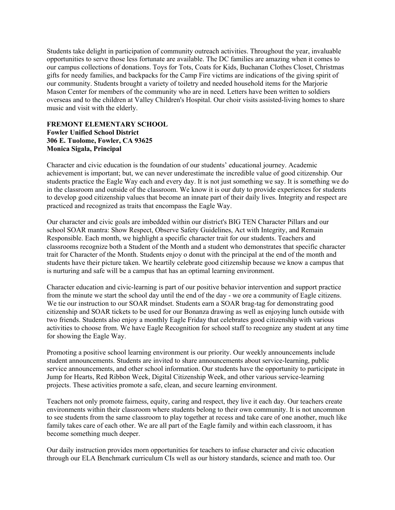Students take delight in participation of community outreach activities. Throughout the year, invaluable opportunities to serve those less fortunate are available. The DC families are amazing when it comes to our campus collections of donations. Toys for Tots, Coats for Kids, Buchanan Clothes Closet, Christmas gifts for needy families, and backpacks for the Camp Fire victims are indications of the giving spirit of our community. Students brought a variety of toiletry and needed household items for the Marjorie Mason Center for members of the community who are in need. Letters have been written to soldiers overseas and to the children at Valley Children's Hospital. Our choir visits assisted-living homes to share music and visit with the elderly.

#### **FREMONT ELEMENTARY SCHOOL Fowler Unified School District 306 E. Tuolome, Fowler, CA 93625 Monica Sigala, Principal**

Character and civic education is the foundation of our students' educational journey. Academic achievement is important; but, we can never underestimate the incredible value of good citizenship. Our students practice the Eagle Way each and every day. It is not just something we say. It is something we do in the classroom and outside of the classroom. We know it is our duty to provide experiences for students to develop good citizenship values that become an innate part of their daily lives. Integrity and respect are practiced and recognized as traits that encompass the Eagle Way.

Our character and civic goals are imbedded within our district's BIG TEN Character Pillars and our school SOAR mantra: Show Respect, Observe Safety Guidelines, Act with Integrity, and Remain Responsible. Each month, we highlight a specific character trait for our students. Teachers and classrooms recognize both a Student of the Month and a student who demonstrates that specific character trait for Character of the Month. Students enjoy o donut with the principal at the end of the month and students have their picture taken. We heartily celebrate good citizenship because we know a campus that is nurturing and safe will be a campus that has an optimal learning environment.

Character education and civic-learning is part of our positive behavior intervention and support practice from the minute we start the school day until the end of the day - we ore a community of Eagle citizens. We tie our instruction to our SOAR mindset. Students earn a SOAR brag-tag for demonstrating good citizenship and SOAR tickets to be used for our Bonanza drawing as well as enjoying lunch outside with two friends. Students also enjoy a monthly Eagle Friday that celebrates good citizenship with various activities to choose from. We have Eagle Recognition for school staff to recognize any student at any time for showing the Eagle Way.

Promoting a positive school learning environment is our priority. Our weekly announcements include student announcements. Students are invited to share announcements about service-learning, public service announcements, and other school information. Our students have the opportunity to participate in Jump for Hearts, Red Ribbon Week, Digital Citizenship Week, and other various service-learning projects. These activities promote a safe, clean, and secure learning environment.

Teachers not only promote fairness, equity, caring and respect, they live it each day. Our teachers create environments within their classroom where students belong to their own community. It is not uncommon to see students from the same classroom to play together at recess and take care of one another, much like family takes care of each other. We are all part of the Eagle family and within each classroom, it has become something much deeper.

Our daily instruction provides morn opportunities for teachers to infuse character and civic education through our ELA Benchmark curriculum CIs well as our history standards, science and math too. Our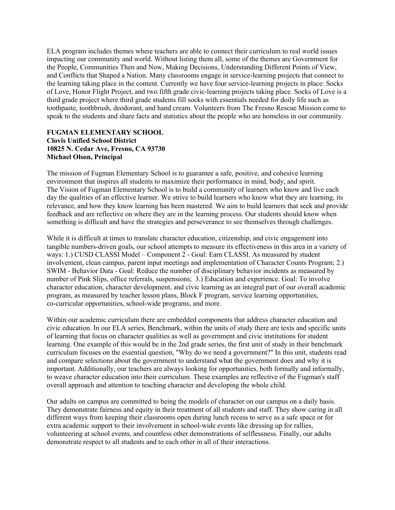ELA program includes themes where teachers are able to connect their curriculum to real world issues impacting our community and world. Without listing them all, some of the themes are Government for the People, Communities Then and Now, Making Decisions, Understanding Different Points of View, and Conflicts that Shaped a Nation. Many classrooms engage in service-learning projects that connect to the learning taking place in the content. Currently we have four service-learning projects in place: Socks of Love, Honor Flight Project, and two fifth grade civic-learning projects taking place. Socks of Love is a third grade project where third grade students fill socks with essentials needed for doily life such as toothpaste, toothbrush, deodorant, and hand cream. Volunteers from The Fresno Rescue Mission come to speak to the students and share facts and statistics about the people who are homeless in our community.

#### **FUGMAN ELEMENTARY SCHOOL Clovis Unified School District 10825 N. Cedar Ave, Fresno, CA 93730 Michael Olson, Principal**

The mission of Fugman Elementary School is to guarantee a safe, positive, and cohesive learning environment that inspires all students to maximize their performance in mind, body, and spirit. The Vision of Fugman Elementary School is to build a community of learners who know and live each day the qualities of an effective learner. We strive to build learners who know what they are learning, its relevance, and how they know learning has been mastered. We aim to build learners that seek and provide feedback and are reflective on where they are in the learning process. Our students should know when something is difficult and have the strategies and perseverance to see themselves through challenges.

While it is difficult at times to translate character education, citizenship, and civic engagement into tangible numbers-driven goals, our school attempts to measure its effectiveness in this area in a variety of ways: 1.) CUSD CLASSI Model – Component 2 - Goal: Earn CLASSI. As measured by student involvement, clean campus, parent input meetings and implementation of Character Counts Program; 2.) SWIM - Behavior Data - Goal: Reduce the number of disciplinary behavior incidents as measured by number of Pink Slips, office referrals, suspensions; 3.) Education and experience. Goal: To involve character education, character development, and civic learning as an integral part of our overall academic program, as measured by teacher lesson plans, Block F program, service learning opportunities, co-curricular opportunities, school-wide programs, and more.

Within our academic curriculum there are embedded components that address character education and civic education. In our ELA series, Benchmark, within the units of study there are texts and specific units of learning that focus on character qualities as well as government and civic institutions for student learning. One example of this would be in the 2nd grade series, the first unit of study in their benchmark curriculum focuses on the essential question, "Why do we need a government?" In this unit, students read and compare selections about the government to understand what the government does and why it is important. Additionally, our teachers are always looking for opportunities, both formally and informally, to weave character education into their curriculum. These examples are reflective of the Fugman's staff overall approach and attention to teaching character and developing the whole child.

Our adults on campus are committed to being the models of character on our campus on a daily basis. They demonstrate fairness and equity in their treatment of all students and staff. They show caring in all different ways from keeping their classrooms open during lunch recess to serve as a safe space or for extra academic support to their involvement in school-wide events like dressing up for rallies, volunteering at school events, and countless other demonstrations of selflessness. Finally, our adults demonstrate respect to all students and to each other in all of their interactions.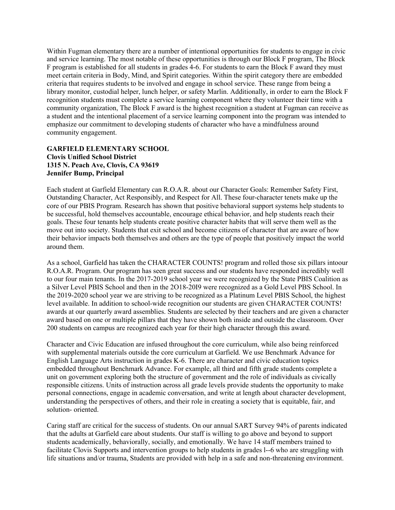Within Fugman elementary there are a number of intentional opportunities for students to engage in civic and service learning. The most notable of these opportunities is through our Block F program, The Block F program is established for all students in grades 4-6. For students to earn the Block F award they must meet certain criteria in Body, Mind, and Spirit categories. Within the spirit category there are embedded criteria that requires students to be involved and engage in school service. These range from being a library monitor, custodial helper, lunch helper, or safety Marlin. Additionally, in order to earn the Block F recognition students must complete a service learning component where they volunteer their time with a community organization, The Block F award is the highest recognition a student at Fugman can receive as a student and the intentional placement of a service learning component into the program was intended to emphasize our commitment to developing students of character who have a mindfulness around community engagement.

#### **GARFIELD ELEMENTARY SCHOOL Clovis Unified School District 1315 N. Peach Ave, Clovis, CA 93619 Jennifer Bump, Principal**

Each student at Garfield Elementary can R.O.A.R. about our Character Goals: Remember Safety First, Outstanding Character, Act Responsibly, and Respect for All. These four-character tenets make up the core of our PBIS Program. Research has shown that positive behavioral support systems help students to be successful, hold themselves accountable, encourage ethical behavior, and help students reach their goals. These four tenants help students create positive character habits that will serve them well as the move out into society. Students that exit school and become citizens of character that are aware of how their behavior impacts both themselves and others are the type of people that positively impact the world around them.

As a school, Garfield has taken the CHARACTER COUNTS! program and rolled those six pillars intoour R.O.A.R. Program. Our program has seen great success and our students have responded incredibly well to our four main tenants. In the 2017-2019 school year we were recognized by the State PBIS Coalition as a Silver Level PBIS School and then in the 2O18-20I9 were recognized as a Gold Level PBS School. In the 2019-2020 school year we are striving to be recognized as a Platinum Level PBIS School, the highest level available. In addition to school-wide recognition our students are given CHARACTER COUNTS! awards at our quarterly award assemblies. Students are selected by their teachers and are given a character award based on one or multiple pillars that they have shown both inside and outside the classroom. Over 200 students on campus are recognized each year for their high character through this award.

Character and Civic Education are infused throughout the core curriculum, while also being reinforced with supplemental materials outside the core curriculum at Garfield. We use Benchmark Advance for English Language Arts instruction in grades K-6. There are character and civic education topics embedded throughout Benchmark Advance. For example, all third and fifth grade students complete a unit on government exploring both the structure of government and the role of individuals as civically responsible citizens. Units of instruction across all grade levels provide students the opportunity to make personal connections, engage in academic conversation, and write at length about character development, understanding the perspectives of others, and their role in creating a society that is equitable, fair, and solution- oriented.

Caring staff are critical for the success of students. On our annual SART Survey 94% of parents indicated that the adults at Garfield care about students. Our staff is willing to go above and beyond to support students academically, behaviorally, socially, and emotionally. We have 14 staff members trained to facilitate Clovis Supports and intervention groups to help students in grades l--6 who are struggling with life situations and/or trauma, Students are provided with help in a safe and non-threatening environment.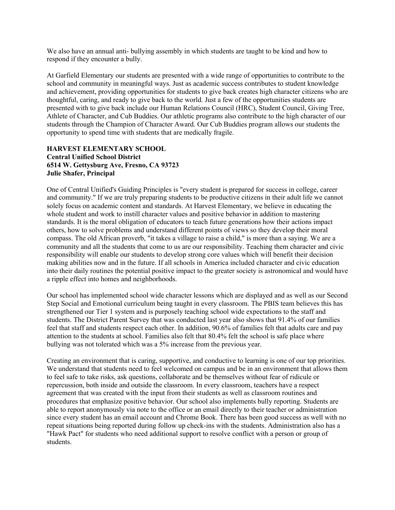We also have an annual anti- bullying assembly in which students are taught to be kind and how to respond if they encounter a bully.

At Garfield Elementary our students are presented with a wide range of opportunities to contribute to the school and community in meaningful ways. Just as academic success contributes to student knowledge and achievement, providing opportunities for students to give back creates high character citizens who are thoughtful, caring, and ready to give back to the world. Just a few of the opportunities students are presented with to give back include our Human Relations Council (HRC), Student Council, Giving Tree, Athlete of Character, and Cub Buddies. Our athletic programs also contribute to the high character of our students through the Champion of Character Award. Our Cub Buddies program allows our students the opportunity to spend time with students that are medically fragile.

#### **HARVEST ELEMENTARY SCHOOL Central Unified School District 6514 W. Gettysburg Ave, Fresno, CA 93723 Julie Shafer, Principal**

One of Central Unified's Guiding Principles is "every student is prepared for success in college, career and community." If we are truly preparing students to be productive citizens in their adult life we cannot solely focus on academic content and standards. At Harvest Elementary, we believe in educating the whole student and work to instill character values and positive behavior in addition to mastering standards. It is the moral obligation of educators to teach future generations how their actions impact others, how to solve problems and understand different points of views so they develop their moral compass. The old African proverb, "it takes a village to raise a child," is more than a saying. We are a community and all the students that come to us are our responsibility. Teaching them character and civic responsibility will enable our students to develop strong core values which will benefit their decision making abilities now and in the future. If all schools in America included character and civic education into their daily routines the potential positive impact to the greater society is astronomical and would have a ripple effect into homes and neighborhoods.

Our school has implemented school wide character lessons which are displayed and as well as our Second Step Social and Emotional curriculum being taught in every classroom. The PBIS team believes this has strengthened our Tier 1 system and is purposely teaching school wide expectations to the staff and students. The District Parent Survey that was conducted last year also shows that 91.4% of our families feel that staff and students respect each other. In addition, 90.6% of families felt that adults care and pay attention to the students at school. Families also felt that 80.4% felt the school is safe place where bullying was not tolerated which was a 5% increase from the previous year.

Creating an environment that is caring, supportive, and conductive to learning is one of our top priorities. We understand that students need to feel welcomed on campus and be in an environment that allows them to feel safe to take risks, ask questions, collaborate and be themselves without fear of ridicule or repercussion, both inside and outside the classroom. In every classroom, teachers have a respect agreement that was created with the input from their students as well as classroom routines and procedures that emphasize positive behavior. Our school also implements bully reporting. Students are able to report anonymously via note to the office or an email directly to their teacher or administration since every student has an email account and Chrome Book. There has been good success as well with no repeat situations being reported during follow up check-ins with the students. Administration also has a "Hawk Pact" for students who need additional support to resolve conflict with a person or group of students.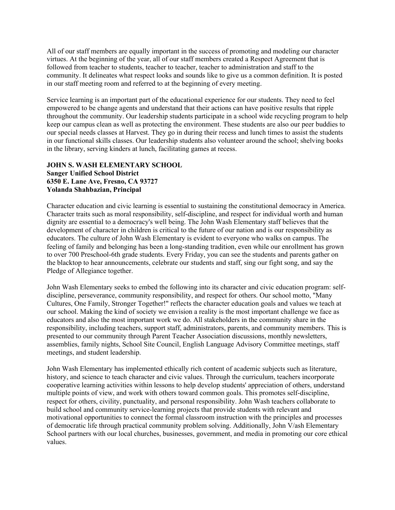All of our staff members are equally important in the success of promoting and modeling our character virtues. At the beginning of the year, all of our staff members created a Respect Agreement that is followed from teacher to students, teacher to teacher, teacher to administration and staff to the community. It delineates what respect looks and sounds like to give us a common definition. It is posted in our staff meeting room and referred to at the beginning of every meeting.

Service learning is an important part of the educational experience for our students. They need to feel empowered to be change agents and understand that their actions can have positive results that ripple throughout the community. Our leadership students participate in a school wide recycling program to help keep our campus clean as well as protecting the environment. These students are also our peer buddies to our special needs classes at Harvest. They go in during their recess and lunch times to assist the students in our functional skills classes. Our leadership students also volunteer around the school; shelving books in the library, serving kinders at lunch, facilitating games at recess.

#### **JOHN S. WASH ELEMENTARY SCHOOL Sanger Unified School District 6350 E. Lane Ave, Fresno, CA 93727 Yolanda Shahbazian, Principal**

Character education and civic learning is essential to sustaining the constitutional democracy in America. Character traits such as moral responsibility, self-discipline, and respect for individual worth and human dignity are essential to a democracy's well being. The John Wash Elementary staff believes that the development of character in children is critical to the future of our nation and is our responsibility as educators. The culture of John Wash Elementary is evident to everyone who walks on campus. The feeling of family and belonging has been a long-standing tradition, even while our enrollment has grown to over 700 Preschool-6th grade students. Every Friday, you can see the students and parents gather on the blacktop to hear announcements, celebrate our students and staff, sing our fight song, and say the Pledge of Allegiance together.

John Wash Elementary seeks to embed the following into its character and civic education program: selfdiscipline, perseverance, community responsibility, and respect for others. Our school motto, "Many Cultures, One Family, Stronger Together!" reflects the character education goals and values we teach at our school. Making the kind of society we envision a reality is the most important challenge we face as educators and also the most important work we do. All stakeholders in the community share in the responsibility, including teachers, support staff, administrators, parents, and community members. This is presented to our community through Parent Teacher Association discussions, monthly newsletters, assemblies, family nights, School Site Council, English Language Advisory Committee meetings, staff meetings, and student leadership.

John Wash Elementary has implemented ethically rich content of academic subjects such as literature, history, and science to teach character and civic values. Through the curriculum, teachers incorporate cooperative learning activities within lessons to help develop students' appreciation of others, understand multiple points of view, and work with others toward common goals. This promotes self-discipline, respect for others, civility, punctuality, and personal responsibility. John Wash teachers collaborate to build school and community service-learning projects that provide students with relevant and motivational opportunities to connect the formal classroom instruction with the principles and processes of democratic life through practical community problem solving. Additionally, John V/ash Elementary School partners with our local churches, businesses, government, and media in promoting our core ethical values.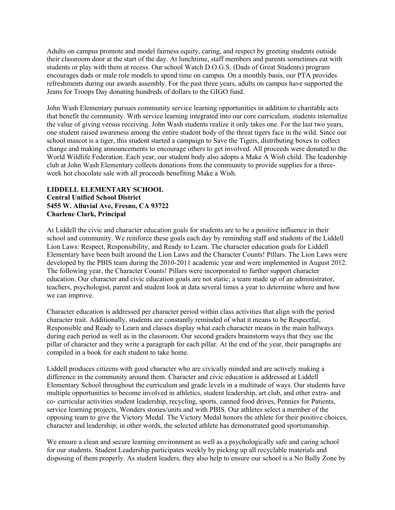Adults on campus promote and model fairness equity, caring, and respect by greeting students outside their classroom door at the start of the day. At lunchtime, staff members and parents sometimes eat with students or play with them at recess. Our school Watch D.O.G.S. (Dads of Great Students) program encourages dads or male role models to spend time on campus. On a monthly basis, our PTA provides refreshments during our awards assembly. For the past three years, adults on campus have supported the Jeans for Troops Day donating hundreds of dollars to the GIGO fund.

John Wash Elementary pursues community service learning opportunities in addition to charitable acts that benefit the community. With service learning integrated into our core curriculum, students internalize the value of giving versus receiving. John Wash students realize it only takes one. For the last two years, one student raised awareness among the entire student body of the threat tigers face in the wild. Since our school mascot is a tiger, this student started a campaign to Save the Tigers, distributing boxes to collect change and making announcements to encourage others to get involved. All proceeds were donated to the World Wildlife Federation. Each year, our student body also adopts a Make A Wish child. The leadership club at John Wash Elementary collects donations from the community to provide supplies for a threeweek hot chocolate sale with all proceeds benefiting Make a Wish.

#### **LIDDELL ELEMENTARY SCHOOL Central Unified School District 5455 W. Alluvial Ave, Fresno, CA 93722 Charlene Clark, Principal**

At Liddell the civic and character education goals for students are to be a positive influence in their school and community. We reinforce these goals each day by reminding staff and students of the Liddell Lion Laws: Respect, Responsibility, and Ready to Learn. The character education goals for Liddell Elementary have been built around the Lion Laws and the Character Counts! Pillars. The Lion Laws were developed by the PBIS team during the 2010-2011 academic year and were implemented in August 2012. The following year, the Character Counts! Pillars were incorporated to further support character education. Our character and civic education goals are not static; a team made up of an administrator, teachers, psychologist, parent and student look at data several times a year to determine where and how we can improve.

Character education is addressed per character period within class activities that align with the period character trait. Additionally, students are constantly reminded of what it means to be Respectful, Responsible and Ready to Learn and classes display what each character means in the main hallways during each period as well as in the classroom. Our second graders brainstorm ways that they use the pillar of character and they write a paragraph for each pillar. At the end of the year, their paragraphs are compiled in a book for each student to take home.

Liddell produces citizens with good character who are civically minded and are actively making a difference in the community around them. Character and civic education is addressed at Liddell Elementary School throughout the curriculum and grade levels in a multitude of ways. Our students have multiple opportunities to become involved in athletics, student leadership, art club, and other extra- and co- curricular activities student leadership, recycling, sports, canned food drives, Pennies for Patients, service learning projects, Wonders stories/units and with PBIS. Our athletes select a member of the opposing team to give the Victory Medal. The Victory Medal honors the athlete for their positive choices, character and leadership; in other words, the selected athlete has demonstrated good sportsmanship.

We ensure a clean and secure learning environment as well as a psychologically safe and caring school for our students. Student Leadership participates weekly by picking up all recyclable materials and disposing of them properly. As student leaders, they also help to ensure our school is a No Bully Zone by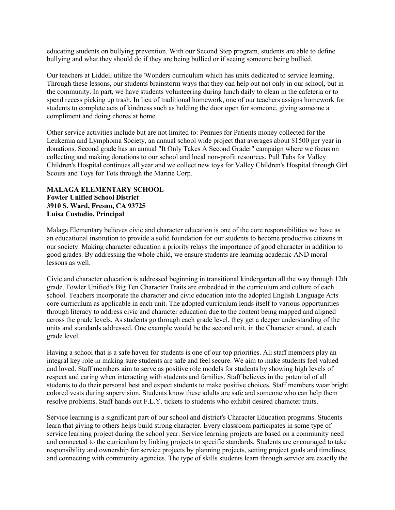educating students on bullying prevention. With our Second Step program, students are able to define bullying and what they should do if they are being bullied or if seeing someone being bullied.

Our teachers at Liddell utilize the 'Wonders curriculum which has units dedicated to service learning. Through these lessons, our students brainstorm ways that they can help out not only in our school, but in the community. In part, we have students volunteering during lunch daily to clean in the cafeteria or to spend recess picking up trash. In lieu of traditional homework, one of our teachers assigns homework for students to complete acts of kindness such as holding the door open for someone, giving someone a compliment and doing chores at home.

Other service activities include but are not limited to: Pennies for Patients money collected for the Leukemia and Lymphoma Society, an annual school wide project that averages about \$1500 per year in donations. Second grade has an annual "It Only Takes A Second Grader" campaign where we focus on collecting and making donations to our school and local non-profit resources. Pull Tabs for Valley Children's Hospital continues all year and we collect new toys for Valley Children's Hospital through Girl Scouts and Toys for Tots through the Marine Corp.

#### **MALAGA ELEMENTARY SCHOOL Fowler Unified School District 3910 S. Ward, Fresno, CA 93725 Luisa Custodio, Principal**

Malaga Elementary believes civic and character education is one of the core responsibilities we have as an educational institution to provide a solid foundation for our students to become productive citizens in our society. Making character education a priority relays the importance of good character in addition to good grades. By addressing the whole child, we ensure students are learning academic AND moral lessons as well.

Civic and character education is addressed beginning in transitional kindergarten all the way through 12th grade. Fowler Unified's Big Ten Character Traits are embedded in the curriculum and culture of each school. Teachers incorporate the character and civic education into the adopted English Language Arts core curriculum as applicable in each unit. The adopted curriculum lends itself to various opportunities through literacy to address civic and character education due to the content being mapped and aligned across the grade levels. As students go through each grade level, they get a deeper understanding of the units and standards addressed. One example would be the second unit, in the Character strand, at each grade level.

Having a school that is a safe haven for students is one of our top priorities. All staff members play an integral key role in making sure students are safe and feel secure. We aim to make students feel valued and loved. Staff members aim to serve as positive role models for students by showing high levels of respect and caring when interacting with students and families. Staff believes in the potential of all students to do their personal best and expect students to make positive choices. Staff members wear bright colored vests during supervision. Students know these adults are safe and someone who can help them resolve problems. Staff hands out F.L.Y. tickets to students who exhibit desired character traits.

Service learning is a significant part of our school and district's Character Education programs. Students learn that giving to others helps build strong character. Every classroom participates in some type of service learning project during the school year. Service learning projects are based on a community need and connected to the curriculum by linking projects to specific standards. Students are encouraged to take responsibility and ownership for service projects by planning projects, setting project goals and timelines, and connecting with community agencies. The type of skills students learn through service are exactly the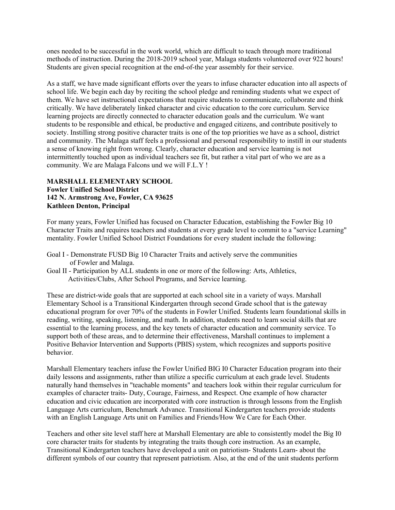ones needed to be successful in the work world, which are difficult to teach through more traditional methods of instruction. During the 2018-2019 school year, Malaga students volunteered over 922 hours! Students are given special recognition at the end-of-the year assembly for their service.

As a staff, we have made significant efforts over the years to infuse character education into all aspects of school life. We begin each day by reciting the school pledge and reminding students what we expect of them. We have set instructional expectations that require students to communicate, collaborate and think critically. We have deliberately linked character and civic education to the core curriculum. Service learning projects are directly connected to character education goals and the curriculum. We want students to be responsible and ethical, be productive and engaged citizens, and contribute positively to society. Instilling strong positive character traits is one of the top priorities we have as a school, district and community. The Malaga staff feels a professional and personal responsibility to instill in our students a sense of knowing right from wrong. Clearly, character education and service learning is not intermittently touched upon as individual teachers see fit, but rather a vital part of who we are as a community. We are Malaga Falcons und we will F.L.Y !

#### **MARSHALL ELEMENTARY SCHOOL Fowler Unified School District 142 N. Armstrong Ave, Fowler, CA 93625 Kathleen Denton, Principal**

For many years, Fowler Unified has focused on Character Education, establishing the Fowler Big 10 Character Traits and requires teachers and students at every grade level to commit to a "service Learning" mentality. Fowler Unified School District Foundations for every student include the following:

- Goal I Demonstrate FUSD Big 10 Character Traits and actively serve the communities of Fowler and Malaga.
- Goal II Participation by ALL students in one or more of the following: Arts, Athletics, Activities/Clubs, After School Programs, and Service learning.

These are district-wide goals that are supported at each school site in a variety of ways. Marshall Elementary School is a Transitional Kindergarten through second Grade school that is the gateway educational program for over 70% of the students in Fowler Unified. Students learn foundational skills in reading, writing, speaking, listening, and math. In addition, students need to learn social skills that are essential to the learning process, and the key tenets of character education and community service. To support both of these areas, and to determine their effectiveness, Marshall continues to implement a Positive Behavior Intervention and Supports (PBIS) system, which recognizes and supports positive behavior.

Marshall Elementary teachers infuse the Fowler Unified BIG I0 Character Education program into their daily lessons and assignments, rather than utilize a specific curriculum at each grade level. Students naturally hand themselves in "teachable moments" and teachers look within their regular curriculum for examples of character traits- Duty, Courage, Fairness, and Respect. One example of how character education and civic education are incorporated with core instruction is through lessons from the English Language Arts curriculum, Benchmark Advance. Transitional Kindergarten teachers provide students with an English Language Arts unit on Families and Friends/How We Care for Each Other.

Teachers and other site level staff here at Marshall Elementary are able to consistently model the Big I0 core character traits for students by integrating the traits though core instruction. As an example, Transitional Kindergarten teachers have developed a unit on patriotism- Students Learn- about the different symbols of our country that represent patriotism. Also, at the end of the unit students perform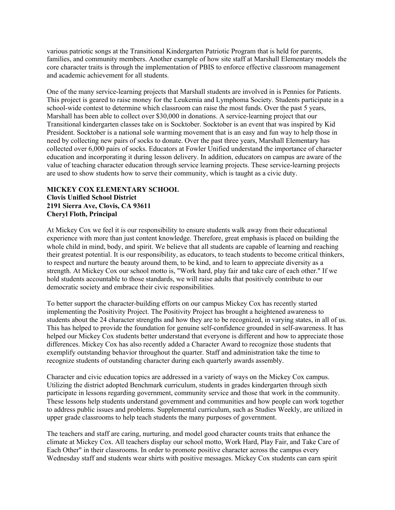various patriotic songs at the Transitional Kindergarten Patriotic Program that is held for parents, families, and community members. Another example of how site staff at Marshall Elementary models the core character traits is through the implementation of PBIS to enforce effective classroom management and academic achievement for all students.

One of the many service-learning projects that Marshall students are involved in is Pennies for Patients. This project is geared to raise money for the Leukemia and Lymphoma Society. Students participate in a school-wide contest to determine which classroom can raise the most funds. Over the past 5 years, Marshall has been able to collect over \$30,000 in donations. A service-learning project that our Transitional kindergarten classes take on is Socktober. Socktober is an event that was inspired by Kid President. Socktober is a national sole warming movement that is an easy and fun way to help those in need by collecting new pairs of socks to donate. Over the past three years, Marshall Elementary has collected over 6,000 pairs of socks. Educators at Fowler Unified understand the importance of character education and incorporating it during lesson delivery. In addition, educators on campus are aware of the value of teaching character education through service learning projects. These service-learning projects are used to show students how to serve their community, which is taught as a civic duty.

#### **MICKEY COX ELEMENTARY SCHOOL Clovis Unified School District 2191 Sierra Ave, Clovis, CA 93611 Cheryl Floth, Principal**

At Mickey Cox we feel it is our responsibility to ensure students walk away from their educational experience with more than just content knowledge. Therefore, great emphasis is placed on building the whole child in mind, body, and spirit. We believe that all students are capable of learning and reaching their greatest potential. It is our responsibility, as educators, to teach students to become critical thinkers, to respect and nurture the beauty around them, to be kind, and to learn to appreciate diversity as a strength. At Mickey Cox our school motto is, "Work hard, play fair and take care of each other." If we hold students accountable to those standards, we will raise adults that positively contribute to our democratic society and embrace their civic responsibilities.

To better support the character-building efforts on our campus Mickey Cox has recently started implementing the Positivity Project. The Positivity Project has brought a heightened awareness to students about the 24 character strengths and how they are to be recognized, in varying states, in all of us. This has helped to provide the foundation for genuine self-confidence grounded in self-awareness. It has helped our Mickey Cox students better understand that everyone is different and how to appreciate those differences. Mickey Cox has also recently added a Character Award to recognize those students that exemplify outstanding behavior throughout the quarter. Staff and administration take the time to recognize students of outstanding character during each quarterly awards assembly.

Character and civic education topics are addressed in a variety of ways on the Mickey Cox campus. Utilizing the district adopted Benchmark curriculum, students in grades kindergarten through sixth participate in lessons regarding government, community service and those that work in the community. These lessons help students understand government and communities and how people can work together to address public issues and problems. Supplemental curriculum, such as Studies Weekly, are utilized in upper grade classrooms to help teach students the many purposes of government.

The teachers and staff are caring, nurturing, and model good character counts traits that enhance the climate at Mickey Cox. All teachers display our school motto, Work Hard, Play Fair, and Take Care of Each Other" in their classrooms. In order to promote positive character across the campus every Wednesday staff and students wear shirts with positive messages. Mickey Cox students can earn spirit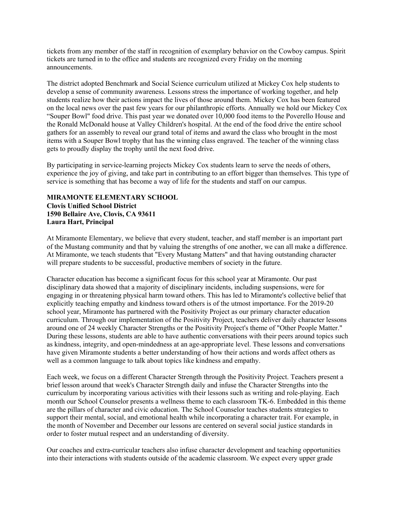tickets from any member of the staff in recognition of exemplary behavior on the Cowboy campus. Spirit tickets are turned in to the office and students are recognized every Friday on the morning announcements.

The district adopted Benchmark and Social Science curriculum utilized at Mickey Cox help students to develop a sense of community awareness. Lessons stress the importance of working together, and help students realize how their actions impact the lives of those around them. Mickey Cox has been featured on the local news over the past few years for our philanthropic efforts. Annually we hold our Mickey Cox "Souper Bowl" food drive. This past year we donated over 10,000 food items to the Poverello House and the Ronald McDonald house at Valley Children's hospital. At the end of the food drive the entire school gathers for an assembly to reveal our grand total of items and award the class who brought in the most items with a Souper Bowl trophy that has the winning class engraved. The teacher of the winning class gets to proudly display the trophy until the next food drive.

By participating in service-learning projects Mickey Cox students learn to serve the needs of others, experience the joy of giving, and take part in contributing to an effort bigger than themselves. This type of service is something that has become a way of life for the students and staff on our campus.

#### **MIRAMONTE ELEMENTARY SCHOOL Clovis Unified School District 1590 Bellaire Ave, Clovis, CA 93611 Laura Hart, Principal**

At Miramonte Elementary, we believe that every student, teacher, and staff member is an important part of the Mustang community and that by valuing the strengths of one another, we can all make a difference. At Miramonte, we teach students that "Every Mustang Matters" and that having outstanding character will prepare students to be successful, productive members of society in the future.

Character education has become a significant focus for this school year at Miramonte. Our past disciplinary data showed that a majority of disciplinary incidents, including suspensions, were for engaging in or threatening physical harm toward others. This has led to Miramonte's collective belief that explicitly teaching empathy and kindness toward others is of the utmost importance. For the 2019-20 school year, Miramonte has partnered with the Positivity Project as our primary character education curriculum. Through our implementation of the Positivity Project, teachers deliver daily character lessons around one of 24 weekly Character Strengths or the Positivity Project's theme of "Other People Matter." During these lessons, students are able to have authentic conversations with their peers around topics such as kindness, integrity, and open-mindedness at an age-appropriate level. These lessons and conversations have given Miramonte students a better understanding of how their actions and words affect others as well as a common language to talk about topics like kindness and empathy.

Each week, we focus on a different Character Strength through the Positivity Project. Teachers present a brief lesson around that week's Character Strength daily and infuse the Character Strengths into the curriculum by incorporating various activities with their lessons such as writing and role-playing. Each month our School Counselor presents a wellness theme to each classroom TK-6. Embedded in this theme are the pillars of character and civic education. The School Counselor teaches students strategies to support their mental, social, and emotional health while incorporating a character trait. For example, in the month of November and December our lessons are centered on several social justice standards in order to foster mutual respect and an understanding of diversity.

Our coaches and extra-curricular teachers also infuse character development and teaching opportunities into their interactions with students outside of the academic classroom. We expect every upper grade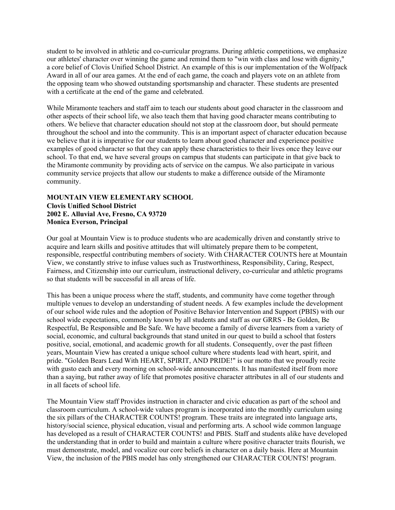student to be involved in athletic and co-curricular programs. During athletic competitions, we emphasize our athletes' character over winning the game and remind them to "win with class and lose with dignity," a core belief of Clovis Unified School District. An example of this is our implementation of the Wolfpack Award in all of our area games. At the end of each game, the coach and players vote on an athlete from the opposing team who showed outstanding sportsmanship and character. These students are presented with a certificate at the end of the game and celebrated.

While Miramonte teachers and staff aim to teach our students about good character in the classroom and other aspects of their school life, we also teach them that having good character means contributing to others. We believe that character education should not stop at the classroom door, but should permeate throughout the school and into the community. This is an important aspect of character education because we believe that it is imperative for our students to learn about good character and experience positive examples of good character so that they can apply these characteristics to their lives once they leave our school. To that end, we have several groups on campus that students can participate in that give back to the Miramonte community by providing acts of service on the campus. We also participate in various community service projects that allow our students to make a difference outside of the Miramonte community.

#### **MOUNTAIN VIEW ELEMENTARY SCHOOL Clovis Unified School District 2002 E. Alluvial Ave, Fresno, CA 93720 Monica Everson, Principal**

Our goal at Mountain View is to produce students who are academically driven and constantly strive to acquire and learn skills and positive attitudes that will ultimately prepare them to be competent, responsible, respectful contributing members of society. With CHARACTER COUNTS here at Mountain View, we constantly strive to infuse values such as Trustworthiness, Responsibility, Caring, Respect, Fairness, and Citizenship into our curriculum, instructional delivery, co-curricular and athletic programs so that students will be successful in all areas of life.

This has been a unique process where the staff, students, and community have come together through multiple venues to develop an understanding of student needs. A few examples include the development of our school wide rules and the adoption of Positive Behavior Intervention and Support (PBIS) with our school wide expectations, commonly known by all students and staff as our GRRS - Be Golden, Be Respectful, Be Responsible and Be Safe. We have become a family of diverse learners from a variety of social, economic, and cultural backgrounds that stand united in our quest to build a school that fosters positive, social, emotional, and academic growth for all students. Consequently, over the past fifteen years, Mountain View has created a unique school culture where students lead with heart, spirit, and pride. "Golden Bears Lead With HEART, SPIRIT, AND PRIDE!" is our motto that we proudly recite with gusto each and every morning on school-wide announcements. It has manifested itself from more than a saying, but rather away of life that promotes positive character attributes in all of our students and in all facets of school life.

The Mountain View staff Provides instruction in character and civic education as part of the school and classroom curriculum. A school-wide values program is incorporated into the monthly curriculum using the six pillars of the CHARACTER COUNTS! program. These traits are integrated into language arts, history/social science, physical education, visual and performing arts. A school wide common language has developed as a result of CHARACTER COUNTS! and PBIS. Staff and students alike have developed the understanding that in order to build and maintain a culture where positive character traits flourish, we must demonstrate, model, and vocalize our core beliefs in character on a daily basis. Here at Mountain View, the inclusion of the PBIS model has only strengthened our CHARACTER COUNTS! program.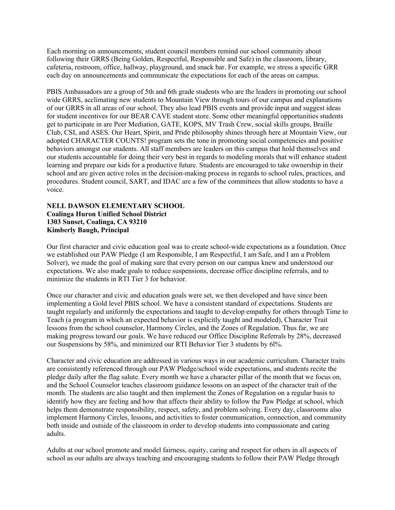Each morning on announcements, student council members remind our school community about following their GRRS (Being Golden, Respectful, Responsible and Safe) in the classroom, library, cafeteria, restroom, office, hallway, playground, and snack bar. For example, we stress a specific GRR each day on announcements and communicate the expectations for each of the areas on campus.

PBIS Ambassadors are a group of 5th and 6th grade students who are the leaders in promoting our school wide GRRS, acclimating new students to Mountain View through tours of our campus and explanations of our GRRS in all areas of our school. They also lead PBIS events and provide input and suggest ideas for student incentives for our BEAR CAVE student store. Some other meaningful opportunities students get to participate in are Peer Mediation, GATE, KOPS, MV Trash Crew, social skills groups, Braille Club, CSI, and ASES. Our Heart, Spirit, and Pride philosophy shines through here at Mountain View, our adopted CHARACTER COUNTS! program sets the tone in promoting social competencies and positive behaviors amongst our students. All staff members are leaders on this campus that hold themselves and our students accountable for doing their very best in regards to modeling morals that will enhance student learning and prepare our kids for a productive future. Students are encouraged to take ownership in their school and are given active roles in the decision-making process in regards to school rules, practices, and procedures. Student council, SART, and IDAC are a few of the committees that allow students to have a voice.

#### **NELL DAWSON ELEMENTARY SCHOOL Coalinga Huron Unified School District 1303 Sunset, Coalinga, CA 93210 Kimberly Baugh, Principal**

Our first character and civic education goal was to create school-wide expectations as a foundation. Once we established our PAW Pledge (I am Responsible, I am Respectful, I am Safe, and I am a Problem Solver), we made the goal of making sure that every person on our campus knew and understood our expectations. We also made goals to reduce suspensions, decrease office discipline referrals, and to minimize the students in RTI Tier 3 for behavior.

Once our character and civic and education goals were set, we then developed and have since been implementing a Gold level PBIS school. We have a consistent standard of expectations. Students are taught regularly and uniformly the expectations and taught to develop empathy for others through Time to Teach (a program in which an expected behavior is explicitly taught and modeled), Character Trait lessons from the school counselor, Harmony Circles, and the Zones of Regulation. Thus far, we are making progress toward our goals. We have reduced our Office Discipline Referrals by 28%, decreased our Suspensions by 58%, and minimized our RTI Behavior Tier 3 students by 6l%.

Character and civic education are addressed in various ways in our academic curriculum. Character traits are consistently referenced through our PAW Pledge/school wide expectations, and students recite the pledge daily after the flag salute. Every month we have a character pillar of the month that we focus on, and the School Counselor teaches classroom guidance lessons on an aspect of the character trait of the month. The students are also taught and then implement the Zones of Regulation on a regular basis to identify how they are feeling and how that affects their ability to follow the Paw Pledge at school, which helps them demonstrate responsibility, respect, safety, and problem solving. Every day, classrooms also implement Harmony Circles, lessons, and activities to foster communication, connection, and community both inside and outside of the classroom in order to develop students into compassionate and caring adults.

Adults at our school promote and model fairness, equity, caring and respect for others in all aspects of school as our adults are always teaching and encouraging students to follow their PAW Pledge through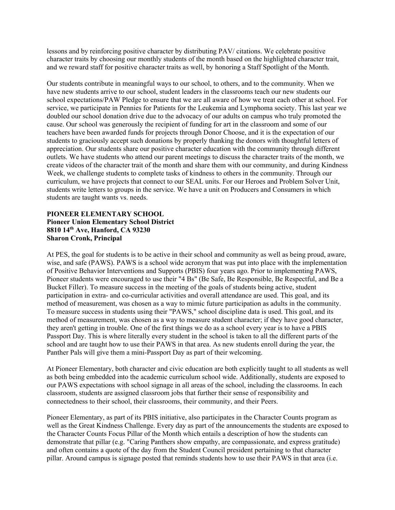lessons and by reinforcing positive character by distributing PAV/ citations. We celebrate positive character traits by choosing our monthly students of the month based on the highlighted character trait, and we reward staff for positive character traits as well, by honoring a Staff Spotlight of the Month.

Our students contribute in meaningful ways to our school, to others, and to the community. When we have new students arrive to our school, student leaders in the classrooms teach our new students our school expectations/PAW Pledge to ensure that we are all aware of how we treat each other at school. For service, we participate in Pennies for Patients for the Leukemia and Lymphoma society. This last year we doubled our school donation drive due to the advocacy of our adults on campus who truly promoted the cause. Our school was generously the recipient of funding for art in the classroom and some of our teachers have been awarded funds for projects through Donor Choose, and it is the expectation of our students to graciously accept such donations by properly thanking the donors with thoughtful letters of appreciation. Our students share our positive character education with the community through different outlets. We have students who attend our parent meetings to discuss the character traits of the month, we create videos of the character trait of the month and share them with our community, and during Kindness Week, we challenge students to complete tasks of kindness to others in the community. Through our curriculum, we have projects that connect to our SEAL units. For our Heroes and Problem Solver Unit, students write letters to groups in the service. We have a unit on Producers and Consumers in which students are taught wants vs. needs.

#### **PIONEER ELEMENTARY SCHOOL Pioneer Union Elementary School District 8810 14th Ave, Hanford, CA 93230 Sharon Cronk, Principal**

At PES, the goal for students is to be active in their school and community as well as being proud, aware, wise, and safe (PAWS). PAWS is a school wide acronym that was put into place with the implementation of Positive Behavior Interventions and Supports (PBIS) four years ago. Prior to implementing PAWS, Pioneer students were encouraged to use their "4 Bs" (Be Safe, Be Responsible, Be Respectful, and Be a Bucket Filler). To measure success in the meeting of the goals of students being active, student participation in extra- and co-curricular activities and overall attendance are used. This goal, and its method of measurement, was chosen as a way to mimic future participation as adults in the community. To measure success in students using their "PAWS," school discipline data is used. This goal, and its method of measurement, was chosen as a way to measure student character; if they have good character, they aren't getting in trouble. One of the first things we do as a school every year is to have a PBIS Passport Day. This is where literally every student in the school is taken to all the different parts of the school and are taught how to use their PAWS in that area. As new students enroll during the year, the Panther Pals will give them a mini-Passport Day as part of their welcoming.

At Pioneer Elementary, both character and civic education are both explicitly taught to all students as well as both being embedded into the academic curriculum school wide. Additionally, students are exposed to our PAWS expectations with school signage in all areas of the school, including the classrooms. In each classroom, students are assigned classroom jobs that further their sense of responsibility and connectedness to their school, their classrooms, their community, and their Peers.

Pioneer Elementary, as part of its PBIS initiative, also participates in the Character Counts program as well as the Great Kindness Challenge. Every day as part of the announcements the students are exposed to the Character Counts Focus Pillar of the Month which entails a description of how the students can demonstrate that pillar (e.g. "Caring Panthers show empathy, are compassionate, and express gratitude) and often contains a quote of the day from the Student Council president pertaining to that character pillar. Around campus is signage posted that reminds students how to use their PAWS in that area (i.e.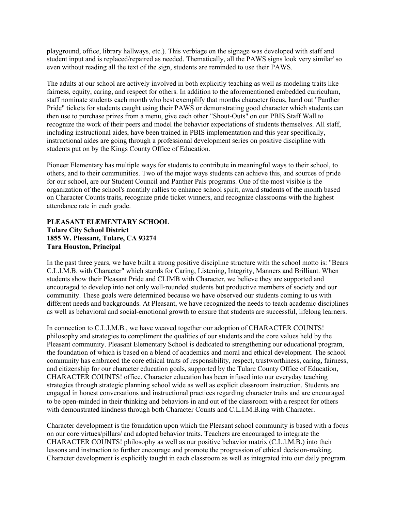playground, office, library hallways, etc.). This verbiage on the signage was developed with staff and student input and is replaced/repaired as needed. Thematically, all the PAWS signs look very similar' so even without reading all the text of the sign, students are reminded to use their PAWS.

The adults at our school are actively involved in both explicitly teaching as well as modeling traits like fairness, equity, caring, and respect for others. In addition to the aforementioned embedded curriculum, staff nominate students each month who best exemplify that months character focus, hand out "Panther Pride" tickets for students caught using their PAWS or demonstrating good character which students can then use to purchase prizes from a menu, give each other "Shout-Outs" on our PBIS Staff Wall to recognize the work of their peers and model the behavior expectations of students themselves. All staff, including instructional aides, have been trained in PBIS implementation and this year specifically, instructional aides are going through a professional development series on positive discipline with students put on by the Kings County Office of Education.

Pioneer Elementary has multiple ways for students to contribute in meaningful ways to their school, to others, and to their communities. Two of the major ways students can achieve this, and sources of pride for our school, are our Student Council and Panther Pals programs. One of the most visible is the organization of the school's monthly rallies to enhance school spirit, award students of the month based on Character Counts traits, recognize pride ticket winners, and recognize classrooms with the highest attendance rate in each grade.

#### **PLEASANT ELEMENTARY SCHOOL Tulare City School District 1855 W. Pleasant, Tulare, CA 93274 Tara Houston, Principal**

In the past three years, we have built a strong positive discipline structure with the school motto is: "Bears C.L.l.M.B. with Character" which stands for Caring, Listening, Integrity, Manners and Brilliant. When students show their Pleasant Pride and CLIMB with Character, we believe they are supported and encouraged to develop into not only well-rounded students but productive members of society and our community. These goals were determined because we have observed our students coming to us with different needs and backgrounds. At Pleasant, we have recognized the needs to teach academic disciplines as well as behavioral and social-emotional growth to ensure that students are successful, lifelong learners.

In connection to C.L.I.M.B., we have weaved together our adoption of CHARACTER COUNTS! philosophy and strategies to compliment the qualities of our students and the core values held by the Pleasant community. Pleasant Elementary School is dedicated to strengthening our educational program, the foundation of which is based on a blend of academics and moral and ethical development. The school community has embraced the core ethical traits of responsibility, respect, trustworthiness, caring, fairness, and citizenship for our character education goals, supported by the Tulare County Office of Education, CHARACTER COUNTS! office. Character education has been infused into our everyday teaching strategies through strategic planning school wide as well as explicit classroom instruction. Students are engaged in honest conversations and instructional practices regarding character traits and are encouraged to be open-minded in their thinking and behaviors in and out of the classroom with a respect for others with demonstrated kindness through both Character Counts and C.L.I.M.B.ing with Character.

Character development is the foundation upon which the Pleasant school community is based with a focus on our core virtues/pillars/ and adopted behavior traits. Teachers are encouraged to integrate the CHARACTER COUNTS! philosophy as well as our positive behavior matrix (C.L.l.M.B.) into their lessons and instruction to further encourage and promote the progression of ethical decision-making. Character development is explicitly taught in each classroom as well as integrated into our daily program.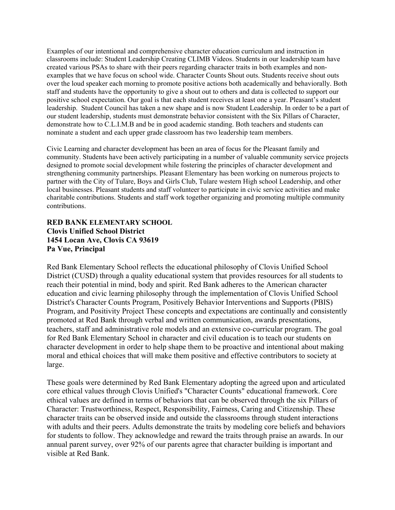Examples of our intentional and comprehensive character education curriculum and instruction in classrooms include: Student Leadership Creating CLIMB Videos. Students in our leadership team have created various PSAs to share with their peers regarding character traits in both examples and nonexamples that we have focus on school wide. Character Counts Shout outs. Students receive shout outs over the loud speaker each morning to promote positive actions both academically and behaviorally. Both staff and students have the opportunity to give a shout out to others and data is collected to support our positive school expectation. Our goal is that each student receives at least one a year. Pleasant's student leadership. Student Council has taken a new shape and is now Student Leadership. In order to be a part of our student leadership, students must demonstrate behavior consistent with the Six Pillars of Character, demonstrate how to C.L.I.M.B and be in good academic standing. Both teachers and students can nominate a student and each upper grade classroom has two leadership team members.

Civic Learning and character development has been an area of focus for the Pleasant family and community. Students have been actively participating in a number of valuable community service projects designed to promote social development while fostering the principles of character development and strengthening community partnerships. Pleasant Elementary has been working on numerous projects to partner with the City of Tulare, Boys and Girls Club, Tulare western High school Leadership, and other local businesses. Pleasant students and staff volunteer to participate in civic service activities and make charitable contributions. Students and staff work together organizing and promoting multiple community contributions.

#### **RED BANK ELEMENTARY SCHOOL Clovis Unified School District 1454 Locan Ave, Clovis CA 93619 Pa Vue, Principal**

Red Bank Elementary School reflects the educational philosophy of Clovis Unified School District (CUSD) through a quality educational system that provides resources for all students to reach their potential in mind, body and spirit. Red Bank adheres to the American character education and civic learning philosophy through the implementation of Clovis Unified School District's Character Counts Program, Positively Behavior Interventions and Supports (PBIS) Program, and Positivity Project These concepts and expectations are continually and consistently promoted at Red Bank through verbal and written communication, awards presentations, teachers, staff and administrative role models and an extensive co-curricular program. The goal for Red Bank Elementary School in character and civil education is to teach our students on character development in order to help shape them to be proactive and intentional about making moral and ethical choices that will make them positive and effective contributors to society at large.

These goals were determined by Red Bank Elementary adopting the agreed upon and articulated core ethical values through Clovis Unified's "Character Counts" educational framework. Core ethical values are defined in terms of behaviors that can be observed through the six Pillars of Character: Trustworthiness, Respect, Responsibility, Fairness, Caring and Citizenship. These character traits can be observed inside and outside the classrooms through student interactions with adults and their peers. Adults demonstrate the traits by modeling core beliefs and behaviors for students to follow. They acknowledge and reward the traits through praise an awards. In our annual parent survey, over 92% of our parents agree that character building is important and visible at Red Bank.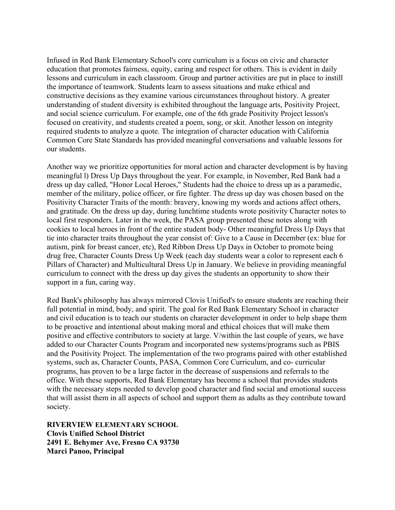Infused in Red Bank Elementary School's core curriculum is a focus on civic and character education that promotes fairness, equity, caring and respect for others. This is evident in daily lessons and curriculum in each classroom. Group and partner activities are put in place to instill the importance of teamwork. Students learn to assess situations and make ethical and constructive decisions as they examine various circumstances throughout history. A greater understanding of student diversity is exhibited throughout the language arts, Positivity Project, and social science curriculum. For example, one of the 6th grade Positivity Project lesson's focused on creativity, and students created a poem, song, or skit. Another lesson on integrity required students to analyze a quote. The integration of character education with California Common Core State Standards has provided meaningful conversations and valuable lessons for our students.

Another way we prioritize opportunities for moral action and character development is by having meaningful l) Dress Up Days throughout the year. For example, in November, Red Bank had a dress up day called, "Honor Local Heroes," Students had the choice to dress up as a paramedic, member of the military, police officer, or fire fighter. The dress up day was chosen based on the Positivity Character Traits of the month: bravery, knowing my words and actions affect others, and gratitude. On the dress up day, during lunchtime students wrote positivity Character notes to local first responders. Later in the week, the PASA group presented these notes along with cookies to local heroes in front of the entire student body- Other meaningful Dress Up Days that tie into character traits throughout the year consist of: Give to a Cause in December (ex: blue for autism, pink for breast cancer, etc), Red Ribbon Dress Up Days in October to promote being drug free, Character Counts Dress Up Week (each day students wear a color to represent each 6 Pillars of Character) and Multicultural Dress Up in January. We believe in providing meaningful curriculum to connect with the dress up day gives the students an opportunity to show their support in a fun, caring way.

Red Bank's philosophy has always mirrored Clovis Unified's to ensure students are reaching their full potential in mind, body, and spirit. The goal for Red Bank Elementary School in character and civil education is to teach our students on character development in order to help shape them to be proactive and intentional about making moral and ethical choices that will make them positive and effective contributors to society at large. V/within the last couple of years, we have added to our Character Counts Program and incorporated new systems/programs such as PBIS and the Positivity Project. The implementation of the two programs paired with other established systems, such as, Character Counts, PASA, Common Core Curriculum, and co- curricular programs, has proven to be a large factor in the decrease of suspensions and referrals to the office. With these supports, Red Bank Elementary has become a school that provides students with the necessary steps needed to develop good character and find social and emotional success that will assist them in all aspects of school and support them as adults as they contribute toward society.

**RIVERVIEW ELEMENTARY SCHOOL Clovis Unified School District 2491 E. Behymer Ave, Fresno CA 93730 Marci Panoo, Principal**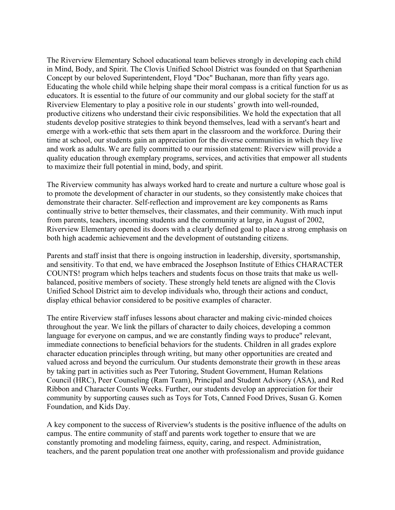The Riverview Elementary School educational team believes strongly in developing each child in Mind, Body, and Spirit. The Clovis Unified School District was founded on that Sparthenian Concept by our beloved Superintendent, Floyd "Doc" Buchanan, more than fifty years ago. Educating the whole child while helping shape their moral compass is a critical function for us as educators. It is essential to the future of our community and our global society for the staff at Riverview Elementary to play a positive role in our students' growth into well-rounded, productive citizens who understand their civic responsibilities. We hold the expectation that all students develop positive strategies to think beyond themselves, lead with a servant's heart and emerge with a work-ethic that sets them apart in the classroom and the workforce. During their time at school, our students gain an appreciation for the diverse communities in which they live and work as adults. We are fully committed to our mission statement: Riverview will provide a quality education through exemplary programs, services, and activities that empower all students to maximize their full potential in mind, body, and spirit.

The Riverview community has always worked hard to create and nurture a culture whose goal is to promote the development of character in our students, so they consistently make choices that demonstrate their character. Self-reflection and improvement are key components as Rams continually strive to better themselves, their classmates, and their community. With much input from parents, teachers, incoming students and the community at large, in August of 2002, Riverview Elementary opened its doors with a clearly defined goal to place a strong emphasis on both high academic achievement and the development of outstanding citizens.

Parents and staff insist that there is ongoing instruction in leadership, diversity, sportsmanship, and sensitivity. To that end, we have embraced the Josephson Institute of Ethics CHARACTER COUNTS! program which helps teachers and students focus on those traits that make us wellbalanced, positive members of society. These strongly held tenets are aligned with the Clovis Unified School District aim to develop individuals who, through their actions and conduct, display ethical behavior considered to be positive examples of character.

The entire Riverview staff infuses lessons about character and making civic-minded choices throughout the year. We link the pillars of character to daily choices, developing a common language for everyone on campus, and we are constantly finding ways to produce" relevant, immediate connections to beneficial behaviors for the students. Children in all grades explore character education principles through writing, but many other opportunities are created and valued across and beyond the curriculum. Our students demonstrate their growth in these areas by taking part in activities such as Peer Tutoring, Student Government, Human Relations Council (HRC), Peer Counseling (Ram Team), Principal and Student Advisory (ASA), and Red Ribbon and Character Counts Weeks. Further, our students develop an appreciation for their community by supporting causes such as Toys for Tots, Canned Food Drives, Susan G. Komen Foundation, and Kids Day.

A key component to the success of Riverview's students is the positive influence of the adults on campus. The entire community of staff and parents work together to ensure that we are constantly promoting and modeling fairness, equity, caring, and respect. Administration, teachers, and the parent population treat one another with professionalism and provide guidance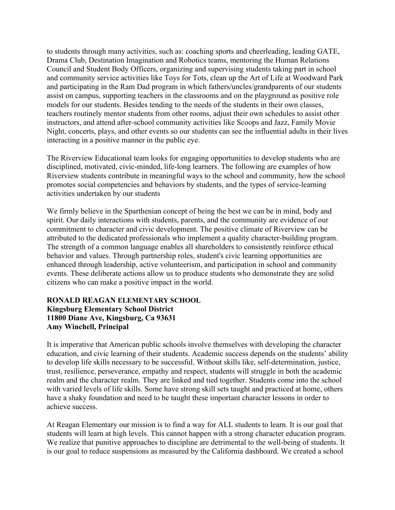to students through many activities, such as: coaching sports and cheerleading, leading GATE, Drama Club, Destination Imagination and Robotics teams, mentoring the Human Relations Council and Student Body Officers, organizing and supervising students taking part in school and community service activities like Toys for Tots, clean up the Art of Life at Woodward Park and participating in the Ram Dad program in which fathers/uncles/grandparents of our students assist on campus, supporting teachers in the classrooms and on the playground as positive role models for our students. Besides tending to the needs of the students in their own classes, teachers routinely mentor students from other rooms, adjust their own schedules to assist other instructors, and attend after-school community activities like Scoops and Jazz, Family Movie Night, concerts, plays, and other events so our students can see the influential adults in their lives interacting in a positive manner in the public eye.

The Riverview Educational team looks for engaging opportunities to develop students who are disciplined, motivated, civic-minded, life-long learners. The following are examples of how Riverview students contribute in meaningful ways to the school and community, how the school promotes social competencies and behaviors by students, and the types of service-learning activities undertaken by our students

We firmly believe in the Sparthenian concept of being the best we can be in mind, body and spirit. Our daily interactions with students, parents, and the community are evidence of our commitment to character and civic development. The positive climate of Riverview can be attributed to the dedicated professionals who implement a quality character-building program. The strength of a common language enables all shareholders to consistently reinforce ethical behavior and values. Through partnership roles, student's civic learning opportunities are enhanced through leadership, active volunteerism, and participation in school and community events. These deliberate actions allow us to produce students who demonstrate they are solid citizens who can make a positive impact in the world.

#### **RONALD REAGAN ELEMENTARY SCHOOL Kingsburg Elementary School District 11800 Diane Ave, Kingsburg, Ca 93631 Amy Winchell, Principal**

It is imperative that American public schools involve themselves with developing the character education, and civic learning of their students. Academic success depends on the students' ability to develop life skills necessary to be successful. Without skills like, self-determination, justice, trust, resilience, perseverance, empathy and respect, students will struggle in both the academic realm and the character realm. They are linked and tied together. Students come into the school with varied levels of life skills. Some have strong skill sets taught and practiced at home, others have a shaky foundation and need to be taught these important character lessons in order to achieve success.

At Reagan Elementary our mission is to find a way for ALL students to learn. It is our goal that students will learn at high levels. This cannot happen with a strong character education program. We realize that punitive approaches to discipline are detrimental to the well-being of students. It is our goal to reduce suspensions as measured by the California dashboard. We created a school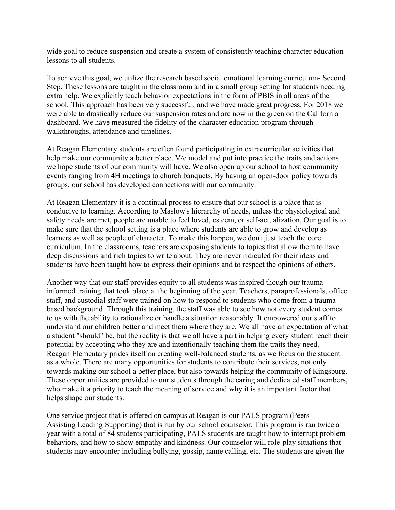wide goal to reduce suspension and create a system of consistently teaching character education lessons to all students.

To achieve this goal, we utilize the research based social emotional learning curriculum- Second Step. These lessons are taught in the classroom and in a small group setting for students needing extra help. We explicitly teach behavior expectations in the form of PBIS in all areas of the school. This approach has been very successful, and we have made great progress. For 2018 we were able to drastically reduce our suspension rates and are now in the green on the California dashboard. We have measured the fidelity of the character education program through walkthroughs, attendance and timelines.

At Reagan Elementary students are often found participating in extracurricular activities that help make our community a better place. V/e model and put into practice the traits and actions we hope students of our community will have. We also open up our school to host community events ranging from 4H meetings to church banquets. By having an open-door policy towards groups, our school has developed connections with our community.

At Reagan Elementary it is a continual process to ensure that our school is a place that is conducive to learning. According to Maslow's hierarchy of needs, unless the physiological and safety needs are met, people are unable to feel loved, esteem, or self-actualization. Our goal is to make sure that the school setting is a place where students are able to grow and develop as learners as well as people of character. To make this happen, we don't just teach the core curriculum. In the classrooms, teachers are exposing students to topics that allow them to have deep discussions and rich topics to write about. They are never ridiculed for their ideas and students have been taught how to express their opinions and to respect the opinions of others.

Another way that our staff provides equity to all students was inspired though our trauma informed training that took place at the beginning of the year. Teachers, paraprofessionals, office staff, and custodial staff were trained on how to respond to students who come from a traumabased background. Through this training, the staff was able to see how not every student comes to us with the ability to rationalize or handle a situation reasonably. It empowered our staff to understand our children better and meet them where they are. We all have an expectation of what a student "should" be, but the reality is that we all have a part in helping every student reach their potential by accepting who they are and intentionally teaching them the traits they need. Reagan Elementary prides itself on creating well-balanced students, as we focus on the student as a whole. There are many opportunities for students to contribute their services, not only towards making our school a better place, but also towards helping the community of Kingsburg. These opportunities are provided to our students through the caring and dedicated staff members, who make it a priority to teach the meaning of service and why it is an important factor that helps shape our students.

One service project that is offered on campus at Reagan is our PALS program (Peers Assisting Leading Supporting) that is run by our school counselor. This program is ran twice a year with a total of 84 students participating, PALS students are taught how to interrupt problem behaviors, and how to show empathy and kindness. Our counselor will role-play situations that students may encounter including bullying, gossip, name calling, etc. The students are given the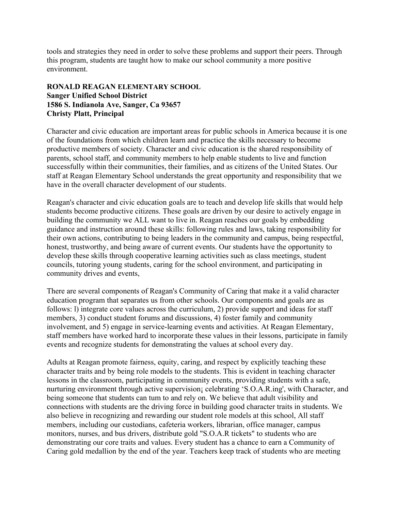tools and strategies they need in order to solve these problems and support their peers. Through this program, students are taught how to make our school community a more positive environment.

#### **RONALD REAGAN ELEMENTARY SCHOOL Sanger Unified School District 1586 S. Indianola Ave, Sanger, Ca 93657 Christy Platt, Principal**

Character and civic education are important areas for public schools in America because it is one of the foundations from which children learn and practice the skills necessary to become productive members of society. Character and civic education is the shared responsibility of parents, school staff, and community members to help enable students to live and function successfully within their communities, their families, and as citizens of the United States. Our staff at Reagan Elementary School understands the great opportunity and responsibility that we have in the overall character development of our students.

Reagan's character and civic education goals are to teach and develop life skills that would help students become productive citizens. These goals are driven by our desire to actively engage in building the community we ALL want to live in. Reagan reaches our goals by embedding guidance and instruction around these skills: following rules and laws, taking responsibility for their own actions, contributing to being leaders in the community and campus, being respectful, honest, trustworthy, and being aware of current events. Our students have the opportunity to develop these skills through cooperative learning activities such as class meetings, student councils, tutoring young students, caring for the school environment, and participating in community drives and events,

There are several components of Reagan's Community of Caring that make it a valid character education program that separates us from other schools. Our components and goals are as follows: l) integrate core values across the curriculum, 2) provide support and ideas for staff members, 3) conduct student forums and discussions, 4) foster family and community involvement, and 5) engage in service-learning events and activities. At Reagan Elementary, staff members have worked hard to incorporate these values in their lessons, participate in family events and recognize students for demonstrating the values at school every day.

Adults at Reagan promote fairness, equity, caring, and respect by explicitly teaching these character traits and by being role models to the students. This is evident in teaching character lessons in the classroom, participating in community events, providing students with a safe, nurturing environment through active supervision¡ celebrating 'S.O.A.R.ing', with Character, and being someone that students can tum to and rely on. We believe that adult visibility and connections with students are the driving force in building good character traits in students. We also believe in recognizing and rewarding our student role models at this school, All staff members, including our custodians, cafeteria workers, librarian, office manager, campus monitors, nurses, and bus drivers, distribute gold "S.O.A.R tickets" to students who are demonstrating our core traits and values. Every student has a chance to earn a Community of Caring gold medallion by the end of the year. Teachers keep track of students who are meeting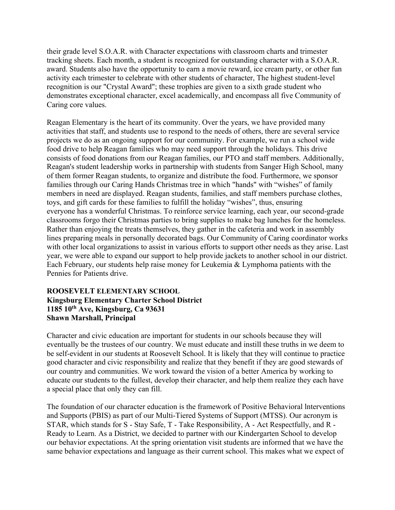their grade level S.O.A.R. with Character expectations with classroom charts and trimester tracking sheets. Each month, a student is recognized for outstanding character with a S.O.A.R. award. Students also have the opportunity to earn a movie reward, ice cream party, or other fun activity each trimester to celebrate with other students of character, The highest student-level recognition is our "Crystal Award"; these trophies are given to a sixth grade student who demonstrates exceptional character, excel academically, and encompass all five Community of Caring core values.

Reagan Elementary is the heart of its community. Over the years, we have provided many activities that staff, and students use to respond to the needs of others, there are several service projects we do as an ongoing support for our community. For example, we run a school wide food drive to help Reagan families who may need support through the holidays. This drive consists of food donations from our Reagan families, our PTO and staff members. Additionally, Reagan's student leadership works in partnership with students from Sanger High School, many of them former Reagan students, to organize and distribute the food. Furthermore, we sponsor families through our Caring Hands Christmas tree in which "hands" with "wishes" of family members in need are displayed. Reagan students, families, and staff members purchase clothes, toys, and gift cards for these families to fulfill the holiday "wishes", thus, ensuring everyone has a wonderful Christmas. To reinforce service learning, each year, our second-grade classrooms forgo their Christmas parties to bring supplies to make bag lunches for the homeless. Rather than enjoying the treats themselves, they gather in the cafeteria and work in assembly lines preparing meals in personally decorated bags. Our Community of Caring coordinator works with other local organizations to assist in various efforts to support other needs as they arise. Last year, we were able to expand our support to help provide jackets to another school in our district. Each February, our students help raise money for Leukemia & Lymphoma patients with the Pennies for Patients drive.

#### **ROOSEVELT ELEMENTARY SCHOOL Kingsburg Elementary Charter School District 1185 10th Ave, Kingsburg, Ca 93631 Shawn Marshall, Principal**

Character and civic education are important for students in our schools because they will eventually be the trustees of our country. We must educate and instill these truths in we deem to be self-evident in our students at Roosevelt School. It is likely that they will continue to practice good character and civic responsibility and realize that they benefit if they are good stewards of our country and communities. We work toward the vision of a better America by working to educate our students to the fullest, develop their character, and help them realize they each have a special place that only they can fill.

The foundation of our character education is the framework of Positive Behavioral lnterventions and Supports (PBIS) as part of our Multi-Tiered Systems of Support (MTSS). Our acronym is STAR, which stands for S - Stay Safe, T - Take Responsibility, A - Act Respectfully, and R - Ready to Learn. As a District, we decided to partner with our Kindergarten School to develop our behavior expectations. At the spring orientation visit students are informed that we have the same behavior expectations and language as their current school. This makes what we expect of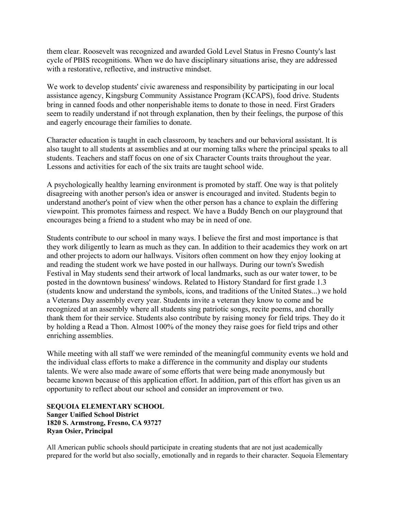them clear. Roosevelt was recognized and awarded Gold Level Status in Fresno County's last cycle of PBIS recognitions. When we do have disciplinary situations arise, they are addressed with a restorative, reflective, and instructive mindset.

We work to develop students' civic awareness and responsibility by participating in our local assistance agency, Kingsburg Community Assistance Program (KCAPS), food drive. Students bring in canned foods and other nonperishable items to donate to those in need. First Graders seem to readily understand if not through explanation, then by their feelings, the purpose of this and eagerly encourage their families to donate.

Character education is taught in each classroom, by teachers and our behavioral assistant. lt is also taught to all students at assemblies and at our morning talks where the principal speaks to all students. Teachers and staff focus on one of six Character Counts traits throughout the year. Lessons and activities for each of the six traits are taught school wide.

A psychologically healthy learning environment is promoted by staff. One way is that politely disagreeing with another person's idea or answer is encouraged and invited. Students begin to understand another's point of view when the other person has a chance to explain the differing viewpoint. This promotes fairness and respect. We have a Buddy Bench on our playground that encourages being a friend to a student who may be in need of one.

Students contribute to our school in many ways. I believe the first and most importance is that they work diligently to learn as much as they can. In addition to their academics they work on art and other projects to adorn our hallways. Visitors often comment on how they enjoy looking at and reading the student work we have posted in our hallways. During our town's Swedish Festival in May students send their artwork of local landmarks, such as our water tower, to be posted in the downtown business' windows. Related to History Standard for first grade 1.3 (students know and understand the symbols, icons, and traditions of the United States...) we hold a Veterans Day assembly every year. Students invite a veteran they know to come and be recognized at an assembly where all students sing patriotic songs, recite poems, and chorally thank them for their service. Students also contribute by raising money for field trips. They do it by holding a Read a Thon. Almost 100% of the money they raise goes for field trips and other enriching assemblies.

While meeting with all staff we were reminded of the meaningful community events we hold and the individual class efforts to make a difference in the community and display our students talents. We were also made aware of some efforts that were being made anonymously but became known because of this application effort. In addition, part of this effort has given us an opportunity to reflect about our school and consider an improvement or two.

**SEQUOIA ELEMENTARY SCHOOL Sanger Unified School District 1820 S. Armstrong, Fresno, CA 93727 Ryan Osier, Principal**

All American public schools should participate in creating students that are not just academically prepared for the world but also socially, emotionally and in regards to their character. Sequoia Elementary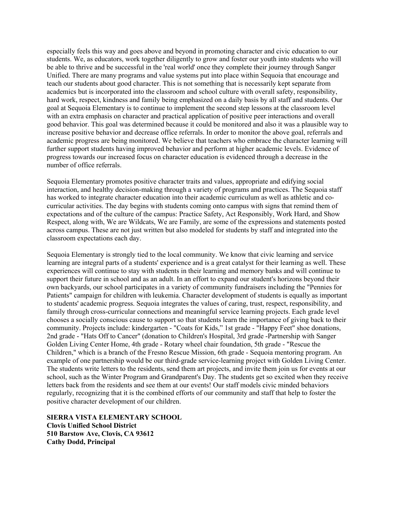especially feels this way and goes above and beyond in promoting character and civic education to our students. We, as educators, work together diligently to grow and foster our youth into students who will be able to thrive and be successful in the 'real world' once they complete their journey through Sanger Unified. There are many programs and value systems put into place within Sequoia that encourage and teach our students about good character. This is not something that is necessarily kept separate from academics but is incorporated into the classroom and school culture with overall safety, responsibility, hard work, respect, kindness and family being emphasized on a daily basis by all staff and students. Our goal at Sequoia Elementary is to continue to implement the second step lessons at the classroom level with an extra emphasis on character and practical application of positive peer interactions and overall good behavior. This goal was determined because it could be monitored and also it was a plausible way to increase positive behavior and decrease office referrals. In order to monitor the above goal, referrals and academic progress are being monitored. We believe that teachers who embrace the character learning will further support students having improved behavior and perform at higher academic levels. Evidence of progress towards our increased focus on character education is evidenced through a decrease in the number of office referrals.

Sequoia Elementary promotes positive character traits and values, appropriate and edifying social interaction, and healthy decision-making through a variety of programs and practices. The Sequoia staff has worked to integrate character education into their academic curriculum as well as athletic and cocurricular activities. The day begins with students coming onto campus with signs that remind them of expectations and of the culture of the campus: Practice Safety, Act Responsibly, Work Hard, and Show Respect, along with, We are Wildcats, We are Family, are some of the expressions and statements posted across campus. These are not just written but also modeled for students by staff and integrated into the classroom expectations each day.

Sequoia Elementary is strongly tied to the local community. We know that civic learning and service learning are integral parts of a students' experience and is a great catalyst for their learning as well. These experiences will continue to stay with students in their learning and memory banks and will continue to support their future in school and as an adult. In an effort to expand our student's horizons beyond their own backyards, our school participates in a variety of community fundraisers including the "Pennies for Patients" campaign for children with leukemia. Character development of students is equally as important to students' academic progress. Sequoia integrates the values of caring, trust, respect, responsibility, and family through cross-curricular connections and meaningful service learning projects. Each grade level chooses a socially conscious cause to support so that students learn the importance of giving back to their community. Projects include: kindergarten - "Coats for Kids," 1st grade - "Happy Feet" shoe donations, 2nd grade - "Hats Off to Cancer" (donation to Children's Hospital, 3rd grade -Partnership with Sanger Golden Living Center Home, 4th grade - Rotary wheel chair foundation, 5th grade - "Rescue the Children," which is a branch of the Fresno Rescue Mission, 6th grade - Sequoia mentoring program. An example of one partnership would be our third-grade service-learning project with Golden Living Center. The students write letters to the residents, send them art projects, and invite them join us for events at our school, such as the Winter Program and Grandparent's Day. The students get so excited when they receive letters back from the residents and see them at our events! Our staff models civic minded behaviors regularly, recognizing that it is the combined efforts of our community and staff that help to foster the positive character development of our children.

**SIERRA VISTA ELEMENTARY SCHOOL Clovis Unified School District 510 Barstow Ave, Clovis, CA 93612 Cathy Dodd, Principal**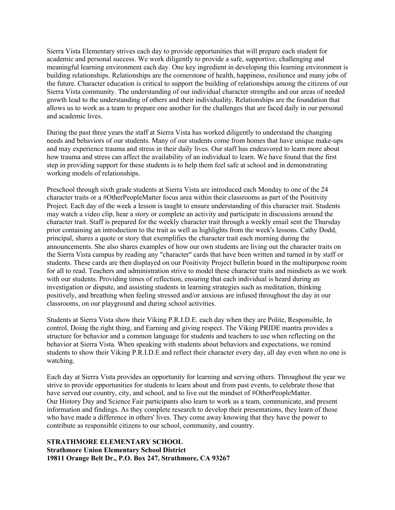Sierra Vista Elementary strives each day to provide opportunities that will prepare each student for academic and personal success. We work diligently to provide a safe, supportive, challenging and meaningful learning environment each day. One key ingredient in developing this learning environment is building relationships. Relationships are the cornerstone of health, happiness, resilience and many jobs of the future. Character education is critical to support the building of relationships among the citizens of our Sierra Vista community. The understanding of our individual character strengths and our areas of needed growth lead to the understanding of others and their individuality. Relationships are the foundation that allows us to work as a team to prepare one another for the challenges that are faced daily in our personal and academic lives.

During the past three years the staff at Sierra Vista has worked diligently to understand the changing needs and behaviors of our students. Many of our students come from homes that have unique make-ups and may experience trauma and stress in their daily lives. Our staff has endeavored to learn more about how trauma and stress can affect the availability of an individual to learn. We have found that the first step in providing support for these students is to help them feel safe at school and in demonstrating working models of relationships.

Preschool through sixth grade students at Sierra Vista are introduced each Monday to one of the 24 character traits or a #OtherPeopleMatter focus area within their classrooms as part of the Positivity Project. Each day of the week a lesson is taught to ensure understanding of this character trait. Students may watch a video clip, hear a story or complete an activity and participate in discussions around the character trait. Staff is prepared for the weekly character trait through a weekly email sent the Thursday prior containing an introduction to the trait as well as highlights from the week's lessons. Cathy Dodd, principal, shares a quote or story that exemplifies the character trait each morning during the announcements. She also shares examples of how our own students are living out the character traits on the Sierra Vista campus by reading any "character" cards that have been written and turned in by staff or students. These cards are then displayed on our Positivity Project bulletin board in the multipurpose room for all to read. Teachers and administration strive to model these character traits and mindsets as we work with our students. Providing times of reflection, ensuring that each individual is heard during an investigation or dispute, and assisting students in learning strategies such as meditation, thinking positively, and breathing when feeling stressed and/or anxious are infused throughout the day in our classrooms, on our playground and during school activities.

Students at Sierra Vista show their Viking P.R.I.D.E. each day when they are Polite, Responsible, In control, Doing the right thing, and Earning and giving respect. The Viking PRIDE mantra provides a structure for behavior and a common language for students and teachers to use when reflecting on the behavior at Sierra Vista. When speaking with students about behaviors and expectations, we remind students to show their Viking P.R.I.D.E and reflect their character every day, all day even when no one is watching.

Each day at Sierra Vista provides an opportunity for learning and serving others. Throughout the year we strive to provide opportunities for students to learn about and from past events, to celebrate those that have served our country, city, and school, and to live out the mindset of #OtherPeopleMatter. Our History Day and Science Fair participants also learn to work as a team, communicate, and present information and findings. As they complete research to develop their presentations, they learn of those who have made a difference in others' lives. They come away knowing that they have the power to contribute as responsible citizens to our school, community, and country.

#### **STRATHMORE ELEMENTARY SCHOOL Strathmore Union Elementary School District 19811 Orange Belt Dr., P.O. Box 247, Strathmore, CA 93267**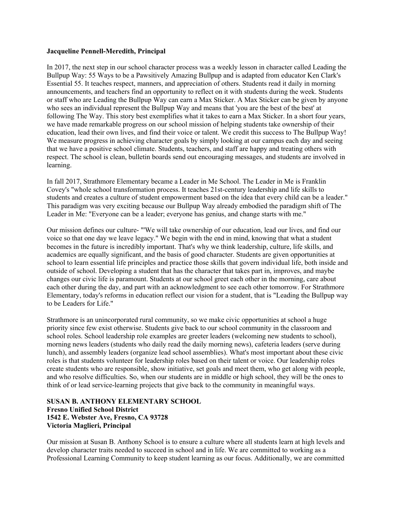#### **Jacqueline Pennell-Meredith, Principal**

In 2017, the next step in our school character process was a weekly lesson in character called Leading the Bullpup Way: 55 Ways to be a Pawsitively Amazing Bullpup and is adapted from educator Ken Clark's Essential 55. It teaches respect, manners, and appreciation of others. Students read it daily in morning announcements, and teachers find an opportunity to reflect on it with students during the week. Students or staff who are Leading the Bullpup Way can earn a Max Sticker. A Max Sticker can be given by anyone who sees an individual represent the Bullpup Way and means that 'you are the best of the best' at following The Way. This story best exemplifies what it takes to earn a Max Sticker. In a short four years, we have made remarkable progress on our school mission of helping students take ownership of their education, lead their own lives, and find their voice or talent. We credit this success to The Bullpup Way! We measure progress in achieving character goals by simply looking at our campus each day and seeing that we have a positive school climate. Students, teachers, and staff are happy and treating others with respect. The school is clean, bulletin boards send out encouraging messages, and students are involved in learning.

In fall 2017, Strathmore Elementary became a Leader in Me School. The Leader in Me is Franklin Covey's "whole school transformation process. It teaches 21st-century leadership and life skills to students and creates a culture of student empowerment based on the idea that every child can be a leader." This paradigm was very exciting because our Bullpup Way already embodied the paradigm shift of The Leader in Me: "Everyone can be a leader; everyone has genius, and change starts with me."

Our mission defines our culture- "'We will take ownership of our education, lead our lives, and find our voice so that one day we leave legacy." We begin with the end in mind, knowing that what a student becomes in the future is incredibly important. That's why we think leadership, culture, life skills, and academics are equally significant, and the basis of good character. Students are given opportunities at school to learn essential life principles and practice those skills that govern individual life, both inside and outside of school. Developing a student that has the character that takes part in, improves, and maybe changes our civic life is paramount. Students at our school greet each other in the morning, care about each other during the day, and part with an acknowledgment to see each other tomorrow. For Strathmore Elementary, today's reforms in education reflect our vision for a student, that is "Leading the Bullpup way to be Leaders for Life."

Strathmore is an unincorporated rural community, so we make civic opportunities at school a huge priority since few exist otherwise. Students give back to our school community in the classroom and school roles. School leadership role examples are greeter leaders (welcoming new students to school), morning news leaders (students who daily read the daily morning news), cafeteria leaders (serve during lunch), and assembly leaders (organize lead school assemblies). What's most important about these civic roles is that students volunteer for leadership roles based on their talent or voice. Our leadership roles create students who are responsible, show initiative, set goals and meet them, who get along with people, and who resolve difficulties. So, when our students are in middle or high school, they will be the ones to think of or lead service-learning projects that give back to the community in meaningful ways.

#### **SUSAN B. ANTHONY ELEMENTARY SCHOOL Fresno Unified School District 1542 E. Webster Ave, Fresno, CA 93728 Victoria Maglieri, Principal**

Our mission at Susan B. Anthony School is to ensure a culture where all students learn at high levels and develop character traits needed to succeed in school and in life. We are committed to working as a Professional Learning Community to keep student learning as our focus. Additionally, we are committed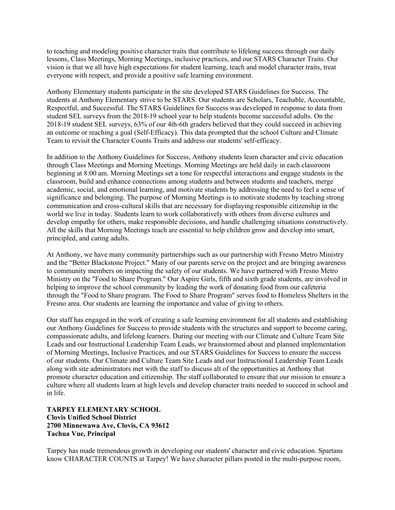to teaching and modeling positive character traits that contribute to lifelong success through our daily lessons, Class Meetings, Morning Meetings, inclusive practices, and our STARS Character Traits. Our vision is that we all have high expectations for student learning, teach and model character traits, treat everyone with respect, and provide a positive safe learning environment.

Anthony Elementary students participate in the site developed STARS Guidelines for Success. The students at Anthony Elementary strive to be STARS. Our students are Scholars, Teachable, Accountable, Respectful, and Successful. The STARS Guidelines for Success was developed in response to data from student SEL surveys from the 2018-19 school year to help students become successful adults. On the 2018-19 student SEL surveys, 63% of our 4th-6th graders believed that they could succeed in achieving an outcome or reaching a goal (Self-Efficacy). This data prompted that the school Culture and Climate Team to revisit the Character Counts Traits and address our students' self-efficacy.

In addition to the Anthony Guidelines for Success, Anthony students learn character and civic education through Class Meetings and Morning Meetings. Morning Meetings are held daily in each classroom beginning at 8:00 am. Morning Meetings set a tone for respectful interactions and engage students in the classroom, build and enhance connections among students and between students and teachers, merge academic, social, and emotional learning, and motivate students by addressing the need to feel a sense of significance and belonging. The purpose of Morning Meetings is to motivate students by teaching strong communication and cross-cultural skills that are necessary for displaying responsible citizenship in the world we live in today. Students learn to work collaboratively with others from diverse cultures and develop empathy for others, make responsible decisions, and handle challenging situations constructively. All the skills that Morning Meetings teach are essential to help children grow and develop into smart, principled, and caring adults.

At Anthony, we have many community partnerships such as our partnership with Fresno Metro Ministry and the "Better Blackstone Project." Many of our parents serve on the project and are bringing awareness to community members on impacting the safety of our students. We have partnered with Fresno Metro Ministry on the "Food to Share Program." Our Aspire Girls, fifth and sixth grade students, are involved in helping to improve the school community by leading the work of donating food from our cafeteria through the "Food to Share program. The Food to Share Program" serves food to Homeless Shelters in the Fresno area. Our students are learning the importance and value of giving to others.

Our staff has engaged in the work of creating a safe learning environment for all students and establishing our Anthony Guidelines for Success to provide students with the structures and support to become caring, compassionate adults, and lifelong learners. During our meeting with our Climate and Culture Team Site Leads and our Instructional Leadership Team Leads, we brainstormed about and planned implementation of Morning Meetings, Inclusive Practices, and our STARS Guidelines for Success to ensure the success of our students. Our Climate and Culture Team Site Leads and our Instructional Leadership Team Leads along with site administrators met with the staff to discuss alt of the opportunities at Anthony that promote character education and citizenship. The staff collaborated to ensure that our mission to ensure a culture where all students learn at high levels and develop character traits needed to succeed in school and in life.

**TARPEY ELEMENTARY SCHOOL Clovis Unified School District 2700 Minnewawa Ave, Clovis, CA 93612 Tachua Vue, Principal**

Tarpey has made tremendous growth in developing our students' character and civic education. Spartans know CHARACTER COUNTS at Tarpey! We have character pillars posted in the multi-purpose room,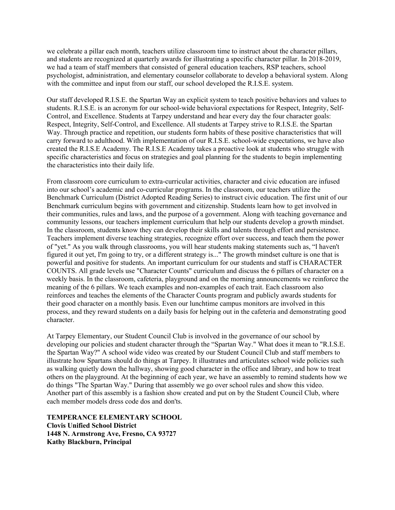we celebrate a pillar each month, teachers utilize classroom time to instruct about the character pillars, and students are recognized at quarterly awards for illustrating a specific character pillar. In 2018-2019, we had a team of staff members that consisted of general education teachers, RSP teachers, school psychologist, administration, and elementary counselor collaborate to develop a behavioral system. Along with the committee and input from our staff, our school developed the R.I.S.E. system.

Our staff developed R.I.S.E. the Spartan Way an explicit system to teach positive behaviors and values to students. R.I.S.E. is an acronym for our school-wide behavioral expectations for Respect, Integrity, Self-Control, and Excellence. Students at Tarpey understand and hear every day the four character goals: Respect, Integrity, Self-Control, and Excellence. All students at Tarpey strive to R.I.S.E. the Spartan Way. Through practice and repetition, our students form habits of these positive characteristics that will carry forward to adulthood. With implementation of our R.I.S.E. school-wide expectations, we have also created the R.I.S.E Academy. The R.I.S.E Academy takes a proactive look at students who struggle with specific characteristics and focus on strategies and goal planning for the students to begin implementing the characteristics into their daily life.

From classroom core curriculum to extra-curricular activities, character and civic education are infused into our school's academic and co-curricular programs. In the classroom, our teachers utilize the Benchmark Curriculum (District Adopted Reading Series) to instruct civic education. The first unit of our Benchmark curriculum begins with government and citizenship. Students learn how to get involved in their communities, rules and laws, and the purpose of a government. Along with teaching governance and community lessons, our teachers implement curriculum that help our students develop a growth mindset. In the classroom, students know they can develop their skills and talents through effort and persistence. Teachers implement diverse teaching strategies, recognize effort over success, and teach them the power of "yet." As you walk through classrooms, you will hear students making statements such as, "l haven't figured it out yet, I'm going to try, or a different strategy is..." The growth mindset culture is one that is powerful and positive for students. An important curriculum for our students and staff is CHARACTER COUNTS. All grade levels use "Character Counts" curriculum and discuss the 6 pillars of character on a weekly basis. In the classroom, cafeteria, playground and on the morning announcements we reinforce the meaning of the 6 pillars. We teach examples and non-examples of each trait. Each classroom also reinforces and teaches the elements of the Character Counts program and publicly awards students for their good character on a monthly basis. Even our lunchtime campus monitors are involved in this process, and they reward students on a daily basis for helping out in the cafeteria and demonstrating good character.

At Tarpey Elementary, our Student Council Club is involved in the governance of our school by developing our policies and student character through the "Spartan Way." What does it mean to "R.I.S.E. the Spartan Way?" A school wide video was created by our Student Council Club and staff members to illustrate how Spartans should do things at Tarpey. It illustrates and articulates school wide policies such as walking quietly down the hallway, showing good character in the office and library, and how to treat others on the playground. At the beginning of each year, we have an assembly to remind students how we do things "The Spartan Way." During that assembly we go over school rules and show this video. Another part of this assembly is a fashion show created and put on by the Student Council Club, where each member models dress code dos and don'ts.

**TEMPERANCE ELEMENTARY SCHOOL Clovis Unified School District 1448 N. Armstrong Ave, Fresno, CA 93727 Kathy Blackburn, Principal**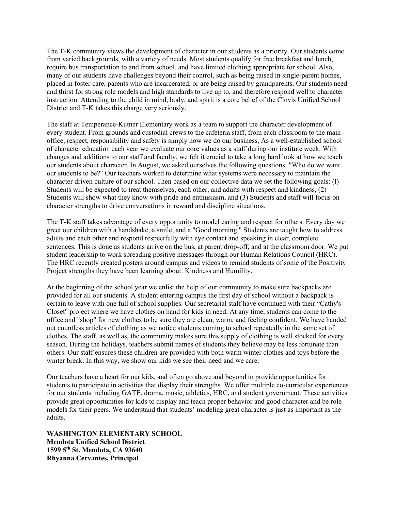The T-K community views the development of character in our students as a priority. Our students come from varied backgrounds, with a variety of needs. Most students qualify for free breakfast and lunch, require bus transportation to and from school, and have limited clothing appropriate for school. Also, many of our students have challenges beyond their control, such as being raised in single-parent homes, placed in foster care, parents who are incarcerated, or are being raised by grandparents. Our students need and thirst for strong role models and high standards to live up to, and therefore respond well to character instruction. Attending to the child in mind, body, and spirit is a core belief of the Clovis Unified School District and T-K takes this charge very seriously.

The staff at Temperance-Kutner Elementary work as a team to support the character development of every student. From grounds and custodial crews to the cafeteria staff, from each classroom to the main office, respect, responsibility and safety is simply how we do our business, As a well-established school of character education each year we evaluate our core values as a staff during our institute week. With changes and additions to our staff and faculty, we felt it crucial to take a long hard look at how we teach our students about character. In August, we asked ourselves the following questions: "Who do we want our students to be?" Our teachers worked to determine what systems were necessary to maintain the character driven culture of our school. Then based on our collective data we set the following goals: (l) Students will be expected to treat themselves, each other, and adults with respect and kindness, (2) Students will show what they know with pride and enthusiasm, and (3) Students and staff will focus on character strengths to drive conversations in reward and discipline situations.

The T-K staff takes advantage of every opportunity to model caring and respect for others. Every day we greet our children with a handshake, a smile, and a "Good morning." Students are taught how to address adults and each other and respond respectfully with eye contact and speaking in clear, complete sentences. This is done as students arrive on the bus, at parent drop-off, and at the classroom door. We put student leadership to work spreading positive messages through our Human Relations Council (HRC). The HRC recently created posters around campus and videos to remind students of some of the Positivity Project strengths they have been learning about: Kindness and Humility.

At the beginning of the school year we enlist the help of our community to make sure backpacks are provided for all our students. A student entering campus the first day of school without a backpack is certain to leave with one full of school supplies. Our secretarial staff have continued with their "Cathy's Closet" project where we have clothes on hand for kids in need. At any time, students can come to the office and "shop" for new clothes to be sure they are clean, warm, and feeling confident. We have handed out countless articles of clothing as we notice students coming to school repeatedly in the same set of clothes. The staff, as well as, the community makes sure this supply of clothing is well stocked for every season. During the holidays, teachers submit names of students they believe may be less fortunate than others. Our staff ensures these children are provided with both warm winter clothes and toys before the winter break. In this way, we show our kids we see their need and we care.

Our teachers have a heart for our kids, and often go above and beyond to provide opportunities for students to participate in activities that display their strengths. We offer multiple co-curricular experiences for our students including GATE, drama, music, athletics, HRC, and student government. These activities provide great opportunities for kids to display and teach proper behavior and good character and be role models for their peers. We understand that students' modeling great character is just as important as the adults.

**WASHINGTON ELEMENTARY SCHOOL Mendota Unified School District 1599 5th St. Mendota, CA 93640 Rhyanna Cervantes, Principal**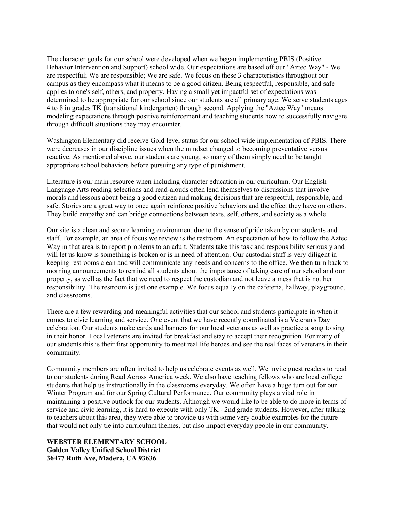The character goals for our school were developed when we began implementing PBIS (Positive Behavior Intervention and Support) school wide. Our expectations are based off our "Aztec Way" - We are respectful; We are responsible; We are safe. We focus on these 3 characteristics throughout our campus as they encompass what it means to be a good citizen. Being respectful, responsible, and safe applies to one's self, others, and property. Having a small yet impactful set of expectations was determined to be appropriate for our school since our students are all primary age. We serve students ages 4 to 8 in grades TK (transitional kindergarten) through second. Applying the "Aztec Way" means modeling expectations through positive reinforcement and teaching students how to successfully navigate through difficult situations they may encounter.

Washington Elementary did receive Gold level status for our school wide implementation of PBIS. There were decreases in our discipline issues when the mindset changed to becoming preventative versus reactive. As mentioned above, our students are young, so many of them simply need to be taught appropriate school behaviors before pursuing any type of punishment.

Literature is our main resource when including character education in our curriculum. Our English Language Arts reading selections and read-alouds often lend themselves to discussions that involve morals and lessons about being a good citizen and making decisions that are respectful, responsible, and safe. Stories are a great way to once again reinforce positive behaviors and the effect they have on others. They build empathy and can bridge connections between texts, self, others, and society as a whole.

Our site is a clean and secure learning environment due to the sense of pride taken by our students and staff. For example, an area of focus we review is the restroom. An expectation of how to follow the Aztec Way in that area is to report problems to an adult. Students take this task and responsibility seriously and will let us know is something is broken or is in need of attention. Our custodial staff is very diligent in keeping restrooms clean and will communicate any needs and concerns to the office. We then turn back to morning announcements to remind all students about the importance of taking care of our school and our property, as well as the fact that we need to respect the custodian and not leave a mess that is not her responsibility. The restroom is just one example. We focus equally on the cafeteria, hallway, playground, and classrooms.

There are a few rewarding and meaningful activities that our school and students participate in when it comes to civic learning and service. One event that we have recently coordinated is a Veteran's Day celebration. Our students make cards and banners for our local veterans as well as practice a song to sing in their honor. Local veterans are invited for breakfast and stay to accept their recognition. For many of our students this is their first opportunity to meet real life heroes and see the real faces of veterans in their community.

Community members are often invited to help us celebrate events as well. We invite guest readers to read to our students during Read Across America week. We also have teaching fellows who are local college students that help us instructionally in the classrooms everyday. We often have a huge turn out for our Winter Program and for our Spring Cultural Performance. Our community plays a vital role in maintaining a positive outlook for our students. Although we would like to be able to do more in terms of service and civic learning, it is hard to execute with only TK - 2nd grade students. However, after talking to teachers about this area, they were able to provide us with some very doable examples for the future that would not only tie into curriculum themes, but also impact everyday people in our community.

#### **WEBSTER ELEMENTARY SCHOOL Golden Valley Unified School District 36477 Ruth Ave, Madera, CA 93636**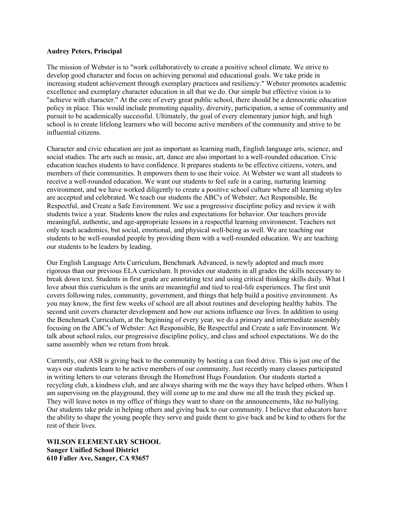#### **Audrey Peters, Principal**

The mission of Webster is to "work collaboratively to create a positive school climate. We strive to develop good character and focus on achieving personal and educational goals. We take pride in increasing student achievement through exemplary practices and resiliency." Webster promotes academic excellence and exemplary character education in all that we do. Our simple but effective vision is to "achieve with character." At the core of every great public school, there should be a democratic education policy in place. This would include promoting equality, diversity, participation, a sense of community and pursuit to be academically successful. Ultimately, the goal of every elementary junior high, and high school is to create lifelong learners who will become active members of the community and strive to be influential citizens.

Character and civic education are just as important as learning math, English language arts, science, and social studies. The arts such as music, art, dance are also important to a well-rounded education. Civic education teaches students to have confidence. It prepares students to be effective citizens, voters, and members of their communities. It empowers them to use their voice. At Webster we want all students to receive a well-rounded education. We want our students to feel safe in a caring, nurturing learning environment, and we have worked diligently to create a positive school culture where all learning styles are accepted and celebrated. We teach our students the ABC's of Webster; Act Responsible, Be Respectful, and Create a Safe Environment. We use a progressive discipline policy and review it with students twice a year. Students know the rules and expectations for behavior. Our teachers provide meaningful, authentic, and age-appropriate lessons in a respectful learning environment. Teachers not only teach academics, but social, emotional, and physical well-being as well. We are teaching our students to be well-rounded people by providing them with a well-rounded education. We are teaching our students to be leaders by leading.

Our English Language Arts Curriculum, Benchmark Advanced, is newly adopted and much more rigorous than our previous ELA curriculum. It provides our students in all grades the skills necessary to break down text. Students in first grade are annotating text and using critical thinking skills daily. What I love about this curriculum is the units are meaningful and tied to real-life experiences. The first unit covers following rules, community, government, and things that help build a positive environment. As you may know, the first few weeks of school are all about routines and developing healthy habits. The second unit covers character development and how our actions influence our lives. In addition to using the Benchmark Curriculum, at the beginning of every year, we do a primary and intermediate assembly focusing on the ABC's of Webster: Act Responsible, Be Respectful and Create a safe Environment. We talk about school rules, our progressive discipline policy, and class and school expectations. We do the same assembly when we return from break.

Currently, our ASB is giving back to the community by hosting a can food drive. This is just one of the ways our students learn to be active members of our community. Just recently many classes participated in writing letters to our veterans through the Homefront Hugs Foundation. Our students started a recycling club, a kindness club, and are always sharing with me the ways they have helped others. When I am supervising on the playground, they will come up to me and show me all the trash they picked up. They will leave notes in my office of things they want to share on the announcements, like no bullying. Our students take pride in helping others and giving back to our community. I believe that educators have the ability to shape the young people they serve and guide them to give back and be kind to others for the rest of their lives.

**WILSON ELEMENTARY SCHOOL Sanger Unified School District 610 Faller Ave, Sanger, CA 93657**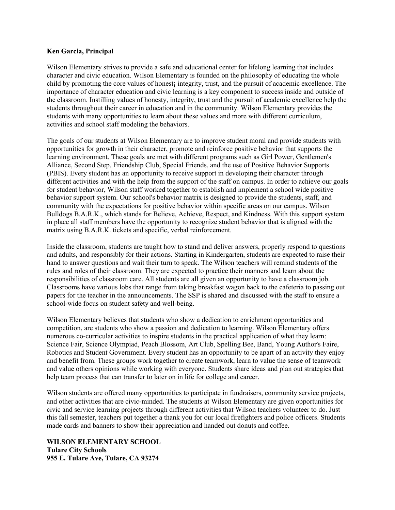#### **Ken Garcia, Principal**

Wilson Elementary strives to provide a safe and educational center for lifelong learning that includes character and civic education. Wilson Elementary is founded on the philosophy of educating the whole child by promoting the core values of honest; integrity, trust, and the pursuit of academic excellence. The importance of character education and civic learning is a key component to success inside and outside of the classroom. Instilling values of honesty, integrity, trust and the pursuit of academic excellence help the students throughout their career in education and in the community. Wilson Elementary provides the students with many opportunities to learn about these values and more with different curriculum, activities and school staff modeling the behaviors.

The goals of our students at Wilson Elementary are to improve student moral and provide students with opportunities for growth in their character, promote and reinforce positive behavior that supports the learning environment. These goals are met with different programs such as Girl Power, Gentlemen's Alliance, Second Step, Friendship Club, Special Friends, and the use of Positive Behavior Supports (PBIS). Every student has an opportunity to receive support in developing their character through different activities and with the help from the support of the staff on campus. In order to achieve our goals for student behavior, Wilson staff worked together to establish and implement a school wide positive behavior support system. Our school's behavior matrix is designed to provide the students, staff, and community with the expectations for positive behavior within specific areas on our campus. Wilson Bulldogs B.A.R.K., which stands for Believe, Achieve, Respect, and Kindness. With this support system in place all staff members have the opportunity to recognize student behavior that is aligned with the matrix using B.A.R.K. tickets and specific, verbal reinforcement.

Inside the classroom, students are taught how to stand and deliver answers, properly respond to questions and adults, and responsibly for their actions. Starting in Kindergarten, students are expected to raise their hand to answer questions and wait their turn to speak. The Wilson teachers will remind students of the rules and roles of their classroom. They are expected to practice their manners and learn about the responsibilities of classroom care. All students are all given an opportunity to have a classroom job. Classrooms have various lobs that range from taking breakfast wagon back to the cafeteria to passing out papers for the teacher in the announcements. The SSP is shared and discussed with the staff to ensure a school-wide focus on student safety and well-being.

Wilson Elementary believes that students who show a dedication to enrichment opportunities and competition, are students who show a passion and dedication to learning. Wilson Elementary offers numerous co-curricular activities to inspire students in the practical application of what they learn: Science Fair, Science Olympiad, Peach Blossom, Art Club, Spelling Bee, Band, Young Author's Faire, Robotics and Student Government. Every student has an opportunity to be apart of an activity they enjoy and benefit from. These groups work together to create teamwork, learn to value the sense of teamwork and value others opinions while working with everyone. Students share ideas and plan out strategies that help team process that can transfer to later on in life for college and career.

Wilson students are offered many opportunities to participate in fundraisers, community service projects, and other activities that are civic-minded. The students at Wilson Elementary are given opportunities for civic and service learning projects through different activities that Wilson teachers volunteer to do. Just this fall semester, teachers put together a thank you for our local firefighters and police officers. Students made cards and banners to show their appreciation and handed out donuts and coffee.

**WILSON ELEMENTARY SCHOOL Tulare City Schools 955 E. Tulare Ave, Tulare, CA 93274**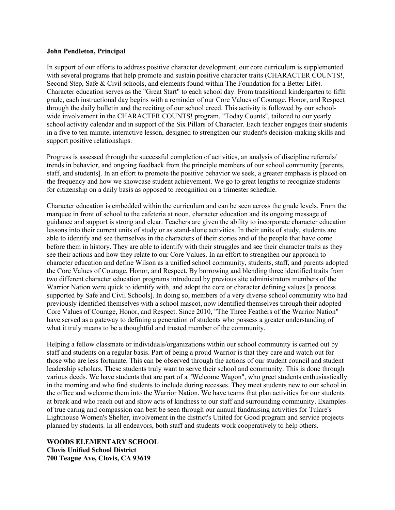#### **John Pendleton, Principal**

In support of our efforts to address positive character development, our core curriculum is supplemented with several programs that help promote and sustain positive character traits (CHARACTER COUNTS!, Second Step, Safe & Civil schools, and elements found within The Foundation for a Better Life). Character education serves as the "Great Start" to each school day. From transitional kindergarten to fifth grade, each instructional day begins with a reminder of our Core Values of Courage, Honor, and Respect through the daily bulletin and the reciting of our school creed. This activity is followed by our schoolwide involvement in the CHARACTER COUNTS! program, "Today Counts", tailored to our yearly school activity calendar and in support of the Six Pillars of Character. Each teacher engages their students in a five to ten minute, interactive lesson, designed to strengthen our student's decision-making skills and support positive relationships.

Progress is assessed through the successful completion of activities, an analysis of discipline referrals/ trends in behavior, and ongoing feedback from the principle members of our school community [parents, staff, and students]. In an effort to promote the positive behavior we seek, a greater emphasis is placed on the frequency and how we showcase student achievement. We go to great lengths to recognize students for citizenship on a daily basis as opposed to recognition on a trimester schedule.

Character education is embedded within the curriculum and can be seen across the grade levels. From the marquee in front of school to the cafeteria at noon, character education and its ongoing message of guidance and support is strong and clear. Teachers are given the ability to incorporate character education lessons into their current units of study or as stand-alone activities. In their units of study, students are able to identify and see themselves in the characters of their stories and of the people that have come before them in history. They are able to identify with their struggles and see their character traits as they see their actions and how they relate to our Core Values. In an effort to strengthen our approach to character education and define Wilson as a unified school community, students, staff, and parents adopted the Core Values of Courage, Honor, and Respect. By borrowing and blending three identified traits from two different character education programs introduced by previous site administrators members of the Warrior Nation were quick to identify with, and adopt the core or character defining values [a process supported by Safe and Civil Schools]. In doing so, members of a very diverse school community who had previously identified themselves with a school mascot, now identified themselves through their adopted Core Values of Courage, Honor, and Respect. Since 2010, "The Three Feathers of the Warrior Nation" have served as a gateway to defining a generation of students who possess a greater understanding of what it truly means to be a thoughtful and trusted member of the community.

Helping a fellow classmate or individuals/organizations within our school community is carried out by staff and students on a regular basis. Part of being a proud Warrior is that they care and watch out for those who are less fortunate. This can be observed through the actions of our student council and student leadership scholars. These students truly want to serve their school and community. This is done through various deeds. We have students that are part of a "Welcome Wagon", who greet students enthusiastically in the morning and who find students to include during recesses. They meet students new to our school in the office and welcome them into the Warrior Nation. We have teams that plan activities for our students at break and who reach out and show acts of kindness to our staff and surrounding community. Examples of true caring and compassion can best be seen through our annual fundraising activities for Tulare's Lighthouse Women's Shelter, involvement in the district's United for Good program and service projects planned by students. In all endeavors, both staff and students work cooperatively to help others.

#### **WOODS ELEMENTARY SCHOOL**

**Clovis Unified School District 700 Teague Ave, Clovis, CA 93619**